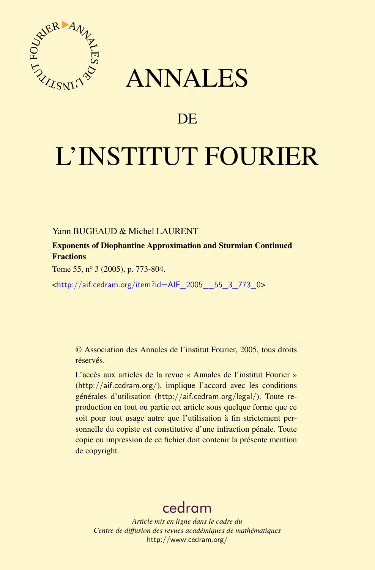



## DE

# L'INSTITUT FOURIER

Yann BUGEAUD & Michel LAURENT

Exponents of Diophantine Approximation and Sturmian Continued **Fractions** 

Tome 55, nº 3 (2005), p. 773-804.

<[http://aif.cedram.org/item?id=AIF\\_2005\\_\\_55\\_3\\_773\\_0](http://aif.cedram.org/item?id=AIF_2005__55_3_773_0)>

© Association des Annales de l'institut Fourier, 2005, tous droits réservés.

L'accès aux articles de la revue « Annales de l'institut Fourier » (<http://aif.cedram.org/>), implique l'accord avec les conditions générales d'utilisation (<http://aif.cedram.org/legal/>). Toute reproduction en tout ou partie cet article sous quelque forme que ce soit pour tout usage autre que l'utilisation à fin strictement personnelle du copiste est constitutive d'une infraction pénale. Toute copie ou impression de ce fichier doit contenir la présente mention de copyright.

## [cedram](http://www.cedram.org/)

*Article mis en ligne dans le cadre du Centre de diffusion des revues académiques de mathématiques* <http://www.cedram.org/>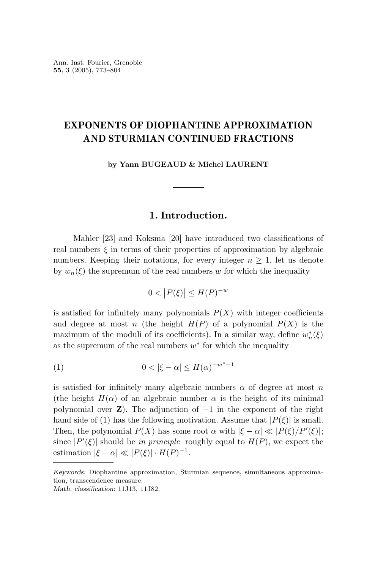## **EXPONENTS OF DIOPHANTINE APPROXIMATION AND STURMIAN CONTINUED FRACTIONS**

**by Yann BUGEAUD & Michel LAURENT**

#### **1. Introduction.**

Mahler [23] and Koksma [20] have introduced two classifications of real numbers  $\xi$  in terms of their properties of approximation by algebraic numbers. Keeping their notations, for every integer  $n \geq 1$ , let us denote by  $w_n(\xi)$  the supremum of the real numbers w for which the inequality

$$
0 < |P(\xi)| \le H(P)^{-w}
$$

is satisfied for infinitely many polynomials  $P(X)$  with integer coefficients and degree at most *n* (the height  $H(P)$  of a polynomial  $P(X)$  is the maximum of the moduli of its coefficients). In a similar way, define  $w_n^*(\xi)$ as the supremum of the real numbers *w*<sup>∗</sup> for which the inequality

$$
(1) \qquad \qquad 0 < |\xi - \alpha| \le H(\alpha)^{-w^* - 1}
$$

is satisfied for infinitely many algebraic numbers  $\alpha$  of degree at most *n* (the height  $H(\alpha)$  of an algebraic number  $\alpha$  is the height of its minimal polynomial over **Z**). The adjunction of  $-1$  in the exponent of the right hand side of (1) has the following motivation. Assume that  $|P(\xi)|$  is small. Then, the polynomial  $P(X)$  has some root  $\alpha$  with  $|\xi - \alpha| \ll |P(\xi)/P'(\xi)|$ ; since  $|P'(\xi)|$  should be in principle roughly equal to  $H(P)$ , we expect the estimation  $|\xi - \alpha| \ll |P(\xi)| \cdot H(P)^{-1}$ .

*Keywords:* Diophantine approximation, Sturmian sequence, simultaneous approximation, transcendence measure.

*Math. classification:* 11J13, 11J82.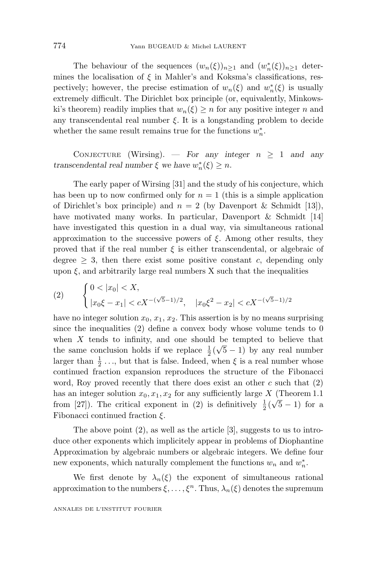The behaviour of the sequences  $(w_n(\xi))_{n\geq 1}$  and  $(w_n^*(\xi))_{n\geq 1}$  determines the localisation of  $\xi$  in Mahler's and Koksma's classifications, respectively; however, the precise estimation of  $w_n(\xi)$  and  $w_n^*(\xi)$  is usually extremely difficult. The Dirichlet box principle (or, equivalently, Minkowski's theorem) readily implies that  $w_n(\xi) > n$  for any positive integer *n* and any transcendental real number  $\xi$ . It is a longstanding problem to decide whether the same result remains true for the functions  $w_n^*$ .

CONJECTURE (Wirsing). — *For any integer*  $n \geq 1$  *and any transcendental real number*  $\xi$  *we have*  $w_n^*(\xi) \geq n$ *.* 

The early paper of Wirsing[31] and the study of his conjecture, which has been up to now confirmed only for  $n = 1$  (this is a simple application of Dirichlet's box principle) and  $n = 2$  (by Davenport & Schmidt [13]), have motivated many works. In particular, Davenport & Schmidt [14] have investigated this question in a dual way, via simultaneous rational approximation to the successive powers of  $\xi$ . Among other results, they proved that if the real number  $\xi$  is either transcendental, or algebraic of degree  $\geq$  3, then there exist some positive constant *c*, depending only upon  $\xi$ , and arbitrarily large real numbers X such that the inequalities

(2) 
$$
\begin{cases} 0 < |x_0| < X, \\ |x_0\xi - x_1| < cX^{-(\sqrt{5}-1)/2}, \quad |x_0\xi^2 - x_2| < cX^{-(\sqrt{5}-1)/2} \end{cases}
$$

have no integer solution  $x_0, x_1, x_2$ . This assertion is by no means surprising since the inequalities  $(2)$  define a convex body whose volume tends to 0 when  $X$  tends to infinity, and one should be tempted to believe that when A tends to military, and one should be templed to believe that the same conclusion holds if we replace  $\frac{1}{2}(\sqrt{5}-1)$  by any real number larger than  $\frac{1}{2}$ ..., but that is false. Indeed, when  $\xi$  is a real number whose continued fraction expansion reproduces the structure of the Fibonacci word, Roy proved recently that there does exist an other *c* such that (2) has an integer solution  $x_0, x_1, x_2$  for any sufficiently large *X* (Theorem 1.1) from [27]). The critical exponent in (2) is definitively  $\frac{1}{2}(\sqrt{5}-1)$  for a Fibonacci continued fraction *ξ*.

The above point  $(2)$ , as well as the article  $[3]$ , suggests to us to introduce other exponents which implicitely appear in problems of Diophantine Approximation by algebraic numbers or algebraic integers. We define four new exponents, which naturally complement the functions  $w_n$  and  $w_n^*$ .

We first denote by  $\lambda_n(\xi)$  the exponent of simultaneous rational approximation to the numbers  $\xi, \ldots, \xi^n$ . Thus,  $\lambda_n(\xi)$  denotes the supremum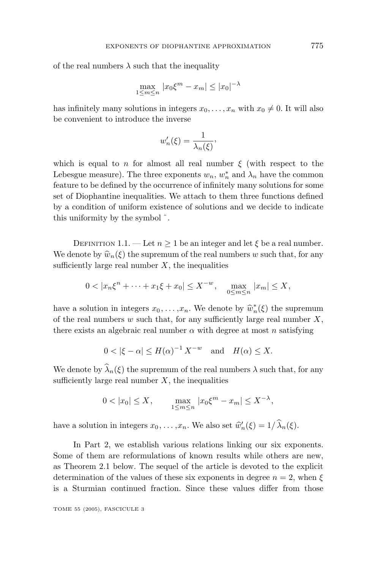of the real numbers  $\lambda$  such that the inequality

$$
\max_{1 \le m \le n} |x_0 \xi^m - x_m| \le |x_0|^{-\lambda}
$$

has infinitely many solutions in integers  $x_0, \ldots, x_n$  with  $x_0 \neq 0$ . It will also be convenient to introduce the inverse

$$
w_n'(\xi) = \frac{1}{\lambda_n(\xi)},
$$

which is equal to *n* for almost all real number  $\xi$  (with respect to the Lebesgue measure). The three exponents  $w_n$ ,  $w_n^*$  and  $\lambda_n$  have the common feature to be defined by the occurrence of infinitely many solutions for some set of Diophantine inequalities. We attach to them three functions defined by a condition of uniform existence of solutions and we decide to indicate this uniformity by the symbol ˆ.

DEFINITION 1.1. — Let  $n \geq 1$  be an integer and let  $\xi$  be a real number. We denote by  $\hat{w}_n(\xi)$  the supremum of the real numbers *w* such that, for any sufficiently large real number  $X$ , the inequalities

$$
0 < |x_n \xi^n + \dots + x_1 \xi + x_0| \le X^{-w}, \quad \max_{0 \le m \le n} |x_m| \le X,
$$

have a solution in integers  $x_0, \ldots, x_n$ . We denote by  $\hat{w}_n^*(\xi)$  the supremum of the real numbers  $w$  such that, for any sufficiently large real number  $X$ of the real numbers *w* such that, for any sufficiently large real number *X*, there exists an algebraic real number *α* with degree at most *n* satisfying

$$
0 < |\xi - \alpha| \le H(\alpha)^{-1} X^{-w} \quad \text{and} \quad H(\alpha) \le X.
$$

We denote by  $\widehat{\lambda}_n(\xi)$  the supremum of the real numbers  $\lambda$  such that, for any sufficiently large real number  $X$ , the inequalities

$$
0 < |x_0| \le X, \qquad \max_{1 \le m \le n} |x_0 \xi^m - x_m| \le X^{-\lambda},
$$

have a solution in integers  $x_0, \ldots, x_n$ . We also set  $\hat{w}'_n(\xi) = 1/\hat{\lambda}_n(\xi)$ .

In Part 2, we establish various relations linking our six exponents. Some of them are reformulations of known results while others are new, as Theorem 2.1 below. The sequel of the article is devoted to the explicit determination of the values of these six exponents in degree  $n = 2$ , when  $\xi$ is a Sturmian continued fraction. Since these values differ from those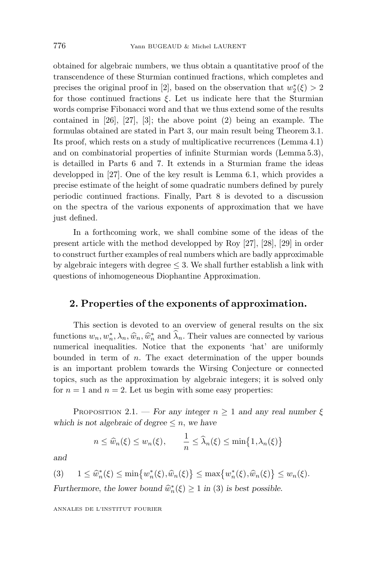obtained for algebraic numbers, we thus obtain a quantitative proof of the transcendence of these Sturmian continued fractions, which completes and precises the original proof in [2], based on the observation that  $w_2^*(\xi) > 2$ for those continued fractions *ξ*. Let us indicate here that the Sturmian words comprise Fibonacci word and that we thus extend some of the results contained in  $[26]$ ,  $[27]$ ,  $[3]$ ; the above point  $(2)$  being an example. The formulas obtained are stated in Part 3, our main result being Theorem 3.1. Its proof, which rests on a study of multiplicative recurrences (Lemma 4.1) and on combinatorial properties of infinite Sturmian words (Lemma 5.3), is detailled in Parts 6 and 7. It extends in a Sturmian frame the ideas developped in [27]. One of the key result is Lemma 6.1, which provides a precise estimate of the height of some quadratic numbers defined by purely periodic continued fractions. Finally, Part 8 is devoted to a discussion on the spectra of the various exponents of approximation that we have just defined.

In a forthcomingwork, we shall combine some of the ideas of the present article with the method developped by Roy [27], [28], [29] in order to construct further examples of real numbers which are badly approximable by algebraic integers with degree  $\leq$  3. We shall further establish a link with questions of inhomogeneous Diophantine Approximation.

#### **2. Properties of the exponents of approximation.**

This section is devoted to an overview of general results on the six functions  $w_n, w_n^*, \lambda_n, \hat{w}_n, \hat{w}_n^*$  and  $\lambda_n$ . Their values are connected by various<br>numerical inequalities. Notice, that, the exponents 'hat', are uniformly numerical inequalities. Notice that the exponents 'hat' are uniformly bounded in term of *n*. The exact determination of the upper bounds is an important problem towards the Wirsing Conjecture or connected topics, such as the approximation by algebraic integers; it is solved only for  $n = 1$  and  $n = 2$ . Let us begin with some easy properties:

PROPOSITION 2.1. — *For any integer*  $n \geq 1$  *and any real number*  $\xi$ *which is not algebraic of degree*  $\leq n$ , *we have* 

$$
n \leq \widehat{w}_n(\xi) \leq w_n(\xi), \qquad \frac{1}{n} \leq \widehat{\lambda}_n(\xi) \leq \min\{1, \lambda_n(\xi)\}
$$

*and*

$$
(3) \quad 1 \leq \widehat{w}_n^*(\xi) \leq \min\{w_n^*(\xi), \widehat{w}_n(\xi)\} \leq \max\{w_n^*(\xi), \widehat{w}_n(\xi)\} \leq w_n(\xi).
$$

*Furthermore, the lower bound*  $\hat{w}_n^*(\xi) \ge 1$  *in* (3) *is best possible.*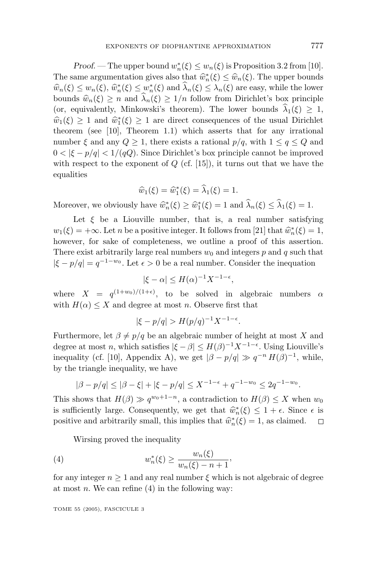*Proof.* — The upper bound  $w_n^*(\xi) \leq w_n(\xi)$  is Proposition 3.2 from [10]. The same argumentation gives also that  $\hat{w}_n^*(\xi) \leq \hat{w}_n(\xi)$ . The upper bounds  $\hat{w}_n(\xi) \leq w_n(\xi) \hat{w}^*(\xi) \leq w^*(\xi)$  and  $\hat{\lambda}(\xi) \leq \lambda(\xi)$  are easy while the lower  $\hat{w}_n(\xi) \leq w_n(\xi), \, \hat{w}_n^*(\xi) \leq w_n^*(\xi)$  and  $\hat{\lambda}_n(\xi) \leq \lambda_n(\xi)$  are easy, while the lower<br>bounds  $\hat{w}_n(\xi) > n$  and  $\hat{\lambda}_n(\xi) > 1/n$  follow from Dirichlet's box principle bounds  $\hat{w}_n(\xi) \geq n$  and  $\hat{\lambda}_n(\xi) \geq 1/n$  follow from Dirichlet's box principle (or, equivalently, Minkowski's theorem). The lower bounds  $\hat{\lambda}_1(\xi) > 1$ ,  $\hat{w}_1(\xi) \geq 1$  and  $\hat{w}_1^*(\xi) \geq 1$  are direct consequences of the usual Dirichlet theorem (see [10] Theorem 1.1) which asserts that for any irrational theorem (see [10], Theorem 1.1) which asserts that for any irrational number  $\xi$  and any  $Q \geq 1$ , there exists a rational  $p/q$ , with  $1 \leq q \leq Q$  and  $0 < |\xi - p/q| < 1/(qQ)$ . Since Dirichlet's box principle cannot be improved with respect to the exponent of *Q* (cf. [15]), it turns out that we have the equalities

$$
\widehat{w}_1(\xi) = \widehat{w}_1^*(\xi) = \widehat{\lambda}_1(\xi) = 1.
$$

Moreover, we obviously have  $\hat{w}_n^*(\xi) \ge \hat{w}_1^*(\xi) = 1$  and  $\lambda_n(\xi) \le \lambda_1(\xi) = 1$ .

Let  $\xi$  be a Liouville number, that is, a real number satisfying  $w_1(\xi) = +\infty$ . Let *n* be a positive integer. It follows from [21] that  $\hat{w}_n^*(\xi) = 1$ , however for sake of completeness we outline a proof of this assertion however, for sake of completeness, we outline a proof of this assertion. There exist arbitrarily large real numbers  $w_0$  and integers  $p$  and  $q$  such that  $|\xi - p/q| = q^{-1-w_0}$ . Let  $\epsilon > 0$  be a real number. Consider the inequation

$$
|\xi - \alpha| \le H(\alpha)^{-1} X^{-1-\epsilon},
$$

where  $X = q^{(1+w_0)/(1+\epsilon)}$ , to be solved in algebraic numbers  $\alpha$ with  $H(\alpha) \leq X$  and degree at most *n*. Observe first that

$$
|\xi - p/q| > H(p/q)^{-1} X^{-1-\epsilon}.
$$

Furthermore, let  $\beta \neq p/q$  be an algebraic number of height at most *X* and degree at most *n*, which satisfies  $|\xi - \beta| \leq H(\beta)^{-1} X^{-1-\epsilon}$ . Using Liouville's inequality (cf. [10], Appendix A), we get  $|\beta - p/q| \gg q^{-n} H(\beta)^{-1}$ , while, by the triangle inequality, we have

$$
|\beta - p/q| \le |\beta - \xi| + |\xi - p/q| \le X^{-1-\epsilon} + q^{-1-w_0} \le 2q^{-1-w_0}.
$$

This shows that  $H(\beta) \gg q^{w_0+1-n}$ , a contradiction to  $H(\beta) \leq X$  when  $w_0$ is sufficiently large. Consequently, we get that  $\hat{w}_n^*(\xi) \leq 1 + \epsilon$ . Since  $\epsilon$  is noting and arbitrarily small, this implies that  $\hat{w}_n^*(\xi) = 1$  as claimed positive and arbitrarily small, this implies that  $\hat{w}_n^*(\xi) = 1$ , as claimed.  $\Box$ 

Wirsing proved the inequality

(4) 
$$
w_n^*(\xi) \ge \frac{w_n(\xi)}{w_n(\xi) - n + 1},
$$

for any integer  $n \geq 1$  and any real number  $\xi$  which is not algebraic of degree at most  $n$ . We can refine  $(4)$  in the following way: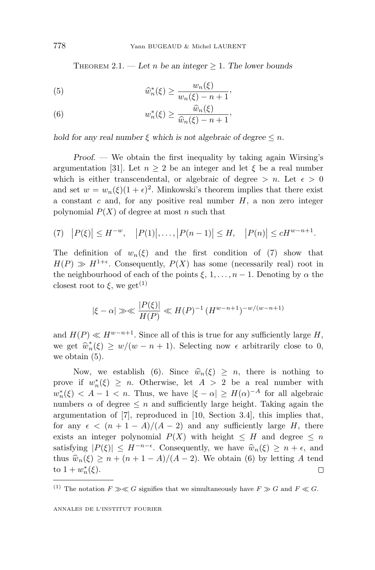THEOREM 2.1. — Let *n* be an integer  $\geq$  1. The lower bounds

(5) 
$$
\widehat{w}_n^*(\xi) \ge \frac{w_n(\xi)}{w_n(\xi) - n + 1},
$$

(6) 
$$
w_n^*(\xi) \ge \frac{\widehat{w}_n(\xi)}{\widehat{w}_n(\xi) - n + 1},
$$

*hold for any real number*  $\xi$  *which is not algebraic of degree*  $\leq n$ *.* 

*Proof*. — We obtain the first inequality by taking again Wirsing's argumentation [31]. Let  $n \geq 2$  be an integer and let  $\xi$  be a real number which is either transcendental, or algebraic of degree  $> n$ . Let  $\epsilon > 0$ and set  $w = w_n(\xi)(1+\epsilon)^2$ . Minkowski's theorem implies that there exist a constant *c* and, for any positive real number *H*, a non zero integer polynomial  $P(X)$  of degree at most *n* such that

$$
(7) \quad |P(\xi)| \le H^{-w}, \quad |P(1)|, \dots, |P(n-1)| \le H, \quad |P(n)| \le cH^{w-n+1}.
$$

The definition of  $w_n(\xi)$  and the first condition of (7) show that  $H(P) \gg H^{1+\epsilon}$ . Consequently,  $P(X)$  has some (necessarily real) root in the neighbourhood of each of the points  $\xi$ , 1,..., *n* − 1. Denoting by  $\alpha$  the closest root to  $\xi$ , we get<sup>(1)</sup>

$$
|\xi - \alpha| \gg \ll \frac{|P(\xi)|}{H(P)} \ll H(P)^{-1} (H^{w-n+1})^{-w/(w-n+1)}
$$

and  $H(P) \ll H^{w-n+1}$ . Since all of this is true for any sufficiently large *H*, we get  $\hat{w}_n^*(\xi) \geq w/(w - n + 1)$ . Selecting now  $\epsilon$  arbitrarily close to 0, we obtain (5) we obtain (5).

Now, we establish (6). Since  $\hat{w}_n(\xi) \geq n$ , there is nothing to prove if  $w_n^*(\xi) \geq n$ . Otherwise, let  $A > 2$  be a real number with  $w_n^*(\xi) < A - 1 < n$ . Thus, we have  $|\xi - \alpha| \ge H(\alpha)^{-A}$  for all algebraic numbers  $\alpha$  of degree  $\leq n$  and sufficiently large height. Taking again the argumentation of [7], reproduced in [10, Section 3.4], this implies that, for any  $\epsilon < (n+1-A)/(A-2)$  and any sufficiently large *H*, there exists an integer polynomial  $P(X)$  with height  $\leq H$  and degree  $\leq n$ satisfying  $|P(\xi)| \leq H^{-n-\epsilon}$ . Consequently, we have  $\hat{w}_n(\xi) \geq n + \epsilon$ , and thus  $\hat{w}_n(\xi) \ge n + (n + 1 - A)/(A - 2)$ . We obtain (6) by letting *A* tend to  $1 + w_n^*(\xi)$ .  $\text{to } 1 + w_n^*(\xi).$ 

<sup>&</sup>lt;sup>(1)</sup> The notation  $F \gg \ll G$  signifies that we simultaneously have  $F \gg G$  and  $F \ll G$ .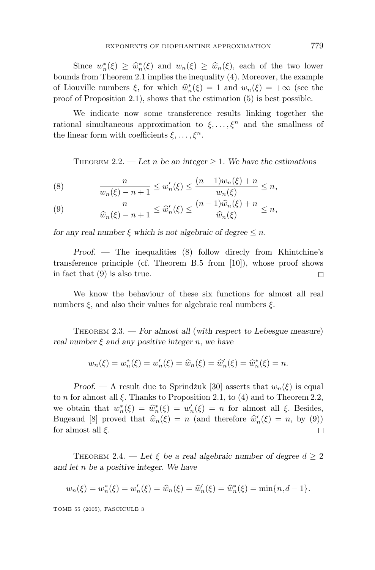Since  $w_n^*(\xi) \ge \hat{w}_n^*(\xi)$  and  $w_n(\xi) \ge \hat{w}_n(\xi)$ , each of the two lower<br>ds from Theorem 2.1 implies the inequality (4) Moreover, the example bounds from Theorem 2.1 implies the inequality (4). Moreover, the example of Liouville numbers  $\xi$ , for which  $\hat{w}_n^*(\xi) = 1$  and  $w_n(\xi) = +\infty$  (see the proof of Proposition 2.1) shows that the estimation (5) is hest possible proof of Proposition 2.1), shows that the estimation (5) is best possible.

We indicate now some transference results linking together the rational simultaneous approximation to  $\xi, \ldots, \xi^n$  and the smallness of the linear form with coefficients *ξ,..., ξn*.

THEOREM 2.2. — Let *n* be an integer  $\geq$  1. We have the estimations

(8) 
$$
\frac{n}{w_n(\xi) - n + 1} \le w'_n(\xi) \le \frac{(n-1)w_n(\xi) + n}{w_n(\xi)} \le n,
$$

(9) 
$$
\frac{n}{\widehat{w}_n(\xi)-n+1} \leq \widehat{w}'_n(\xi) \leq \frac{(n-1)\widehat{w}_n(\xi)+n}{\widehat{w}_n(\xi)} \leq n,
$$

*for any real number*  $\xi$  *which is not algebraic of degree*  $\leq n$ *.* 

*Proof*. — The inequalities (8) follow direcly from Khintchine's transference principle (cf. Theorem B.5 from [10]), whose proof shows in fact that (9) is also true.  $\Box$ 

We know the behaviour of these six functions for almost all real numbers *ξ*, and also their values for algebraic real numbers *ξ*.

THEOREM 2.3. — *For almost all* (*with respect to Lebesgue measure*) *real number ξ and any positive integer n*, *we have*

$$
w_n(\xi) = w_n^*(\xi) = w_n'(\xi) = \hat{w}_n(\xi) = \hat{w}_n'(\xi) = \hat{w}_n^*(\xi) = n.
$$

*Proof.* — A result due to Sprindžuk [30] asserts that  $w_n(\xi)$  is equal to *n* for almost all  $\xi$ . Thanks to Proposition 2.1, to (4) and to Theorem 2.2, we obtain that  $w_n^*(\xi) = \hat{w}_n^*(\xi) = w_n'(\xi) = n$  for almost all  $\xi$ . Besides,<br>Bureaud [8] proved that  $\hat{w}_n(\xi) = n$  (and therefore  $\hat{w}_n'(\xi) = n$  by (9)) Bugeaud [8] proved that  $\hat{w}_n(\xi) = n$  (and therefore  $\hat{w}'_n(\xi) = n$ , by (9)) for almost all  $\xi$ for almost all *ξ*. □

THEOREM 2.4. — Let  $\xi$  be a real algebraic number of degree  $d \geq 2$ *and let n be a positive integer. We have*

$$
w_n(\xi) = w_n^*(\xi) = w_n'(\xi) = \hat{w}_n(\xi) = \hat{w}_n'(\xi) = \hat{w}_n^*(\xi) = \min\{n, d-1\}.
$$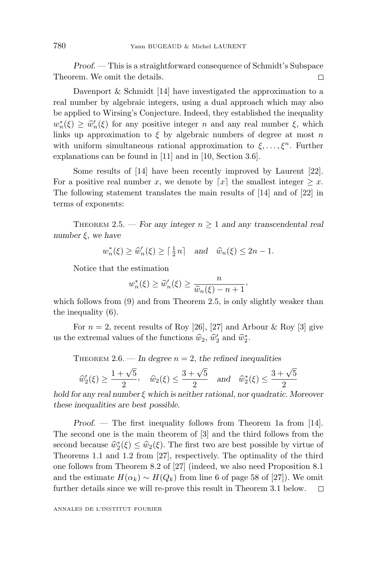*Proof*. — This is a straightforward consequence of Schmidt's Subspace Theorem. We omit the details.  $\Box$ 

Davenport & Schmidt [14] have investigated the approximation to a real number by algebraic integers, using a dual approach which may also be applied to Wirsing's Conjecture. Indeed, they established the inequality  $w_n^*(\xi) \geq \hat{w}_n'(\xi)$  for any positive integer *n* and any real number  $\xi$ , which links up approximation to  $\xi$  by algebraic numbers of degree at most *n* links up approximation to  $\xi$  by algebraic numbers of degree at most *n* with uniform simultaneous rational approximation to  $\xi, \ldots, \xi^n$ . Further explanations can be found in [11] and in [10, Section 3.6].

Some results of [14] have been recently improved by Laurent [22]. For a positive real number *x*, we denote by  $\lceil x \rceil$  the smallest integer  $\geq x$ . The following statement translates the main results of  $[14]$  and of  $[22]$  in terms of exponents:

THEOREM 2.5. — For any integer  $n \geq 1$  and any transcendental real *number ξ*, *we have*

 $w_n^*(\xi) \ge \hat{w}_n'(\xi) \ge \lceil \frac{1}{2}n \rceil$  and  $\hat{w}_n(\xi) \le 2n - 1$ *.* 

Notice that the estimation

$$
w_n^*(\xi) \ge \widehat{w}_n'(\xi) \ge \frac{n}{\widehat{w}_n(\xi) - n + 1},
$$

 $w_n^*(\xi) \ge \widehat{w}'_n(\xi) \ge \frac{n}{\widehat{w}_n(\xi) - n + 1}$ ,<br>which follows from (9) and from Theorem 2.5, is only slightly weaker than the inequality (6).

For  $n = 2$ , recent results of Roy [26], [27] and Arbour & Roy [3] give us the extremal values of the functions  $\hat{w}_2$ ,  $\hat{w}'_2$  and  $\hat{w}_2^*$ .

THEOREM 2.6. — In degree  $n = 2$ , the refined inequalities

$$
\widehat{w}'_2(\xi) \ge \frac{1+\sqrt{5}}{2}, \quad \widehat{w}_2(\xi) \le \frac{3+\sqrt{5}}{2} \quad \text{and} \quad \widehat{w}_2^*(\xi) \le \frac{3+\sqrt{5}}{2}
$$

*hold for any real number ξ which is neither rational*, *nor quadratic. Moreover these inequalities are best possible.*

*Proof*. — The first inequality follows from Theorem 1a from [14]. The second one is the main theorem of [3] and the third follows from the second because  $\hat{w}_2^*(\xi) \leq \hat{w}_2(\xi)$ . The first two are best possible by virtue of Theorems 1.1 and 1.2 from [27] respectively. The optimality of the third Theorems 1.1 and 1.2 from [27], respectively. The optimality of the third one follows from Theorem 8.2 of [27] (indeed, we also need Proposition 8.1 and the estimate  $H(\alpha_k) \sim H(Q_k)$  from line 6 of page 58 of [27]). We omit further details since we will re-prove this result in Theorem 3.1 below.  $\Box$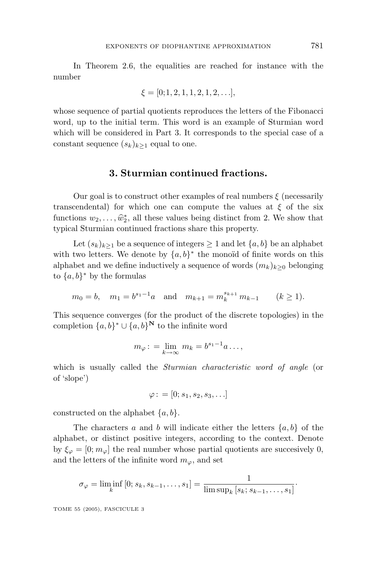In Theorem 2.6, the equalities are reached for instance with the number

$$
\xi = [0; 1, 2, 1, 1, 2, 1, 2, \ldots],
$$

whose sequence of partial quotients reproduces the letters of the Fibonacci word, up to the initial term. This word is an example of Sturmian word which will be considered in Part 3. It corresponds to the special case of a constant sequence  $(s_k)_{k>1}$  equal to one.

#### **3. Sturmian continued fractions.**

Our goal is to construct other examples of real numbers  $\xi$  (necessarily transcendental) for which one can compute the values at  $\xi$  of the six functions  $w_2, \ldots, \hat{w}_2^*$ , all these values being distinct from 2. We show that typical Sturmian continued fractions share this property typical Sturmian continued fractions share this property.

Let  $(s_k)_{k>1}$  be a sequence of integers  $\geq 1$  and let  $\{a, b\}$  be an alphabet with two letters. We denote by  $\{a, b\}^*$  the monoïd of finite words on this alphabet and we define inductively a sequence of words  $(m_k)_{k>0}$  belonging to  ${a,b}^*$  by the formulas

$$
m_0 = b
$$
,  $m_1 = b^{s_1-1}a$  and  $m_{k+1} = m_k^{s_{k+1}} m_{k-1}$   $(k \ge 1)$ .

This sequence converges (for the product of the discrete topologies) in the completion  $\{a, b\}^* \cup \{a, b\}^{\mathbf{N}}$  to the infinite word

$$
m_{\varphi} \colon = \lim_{k \to \infty} m_k = b^{s_1 - 1} a \dots,
$$

which is usually called the *Sturmian characteristic word of angle* (or of 'slope')

$$
\varphi\colon=[0;s_1,s_2,s_3,\ldots]
$$

constructed on the alphabet {*a, b*}.

The characters *a* and *b* will indicate either the letters  $\{a, b\}$  of the alphabet, or distinct positive integers, according to the context. Denote by  $\xi_{\varphi} = [0; m_{\varphi}]$  the real number whose partial quotients are succesively 0, and the letters of the infinite word  $m_\varphi$ , and set

$$
\sigma_{\varphi} = \liminf_{k} [0; s_k, s_{k-1}, \dots, s_1] = \frac{1}{\limsup_{k} [s_k; s_{k-1}, \dots, s_1]}.
$$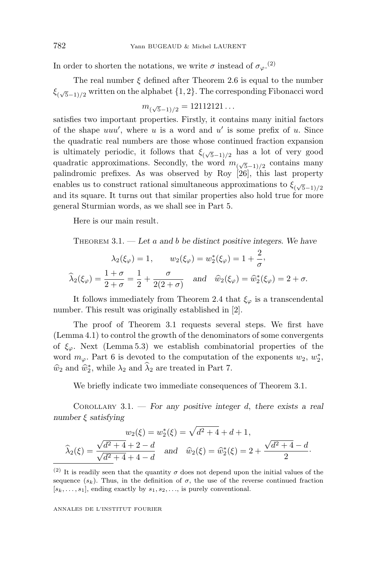In order to shorten the notations, we write  $\sigma$  instead of  $\sigma_{\varphi}$ .<sup>(2)</sup>

The real number  $\xi$  defined after Theorem 2.6 is equal to the number *ξ*( <sup>√</sup>5−1)*/*<sup>2</sup> written on the alphabet {1*,* 2}. The correspondingFibonacci word

$$
m_{(\sqrt{5}-1)/2}=12112121\ldots
$$

satisfies two important properties. Firstly, it contains many initial factors of the shape *uuu* , where *u* is a word and *u* is some prefix of *u*. Since the quadratic real numbers are those whose continued fraction expansion is ultimately periodic, it follows that  $\xi_{(\sqrt{5}-1)/2}$  has a lot of very good quadratic approximations. Secondly, the word *m*( <sup>√</sup>5−1)*/*<sup>2</sup> contains many palindromic prefixes. As was observed by Roy [26], this last property enables us to construct rational simultaneous approximations to  $\xi_{(\sqrt{5}-1)/2}$ and its square. It turns out that similar properties also hold true for more general Sturmian words, as we shall see in Part 5.

Here is our main result.

THEOREM 3.1. — *Let a and b be distinct positive integers. We have*

$$
\lambda_2(\xi_{\varphi}) = 1, \qquad w_2(\xi_{\varphi}) = w_2^*(\xi_{\varphi}) = 1 + \frac{2}{\sigma},
$$
  
\n $\widehat{\lambda}_2(\xi_{\varphi}) = \frac{1 + \sigma}{2 + \sigma} = \frac{1}{2} + \frac{\sigma}{2(2 + \sigma)}$  and  $\widehat{w}_2(\xi_{\varphi}) = \widehat{w}_2^*(\xi_{\varphi}) = 2 + \sigma.$ 

It follows immediately from Theorem 2.4 that  $\xi_{\varphi}$  is a transcendental number. This result was originally established in [2].

The proof of Theorem 3.1 requests several steps. We first have (Lemma 4.1) to control the growth of the denominators of some convergents of  $\xi_{\varphi}$ . Next (Lemma 5.3) we establish combinatorial properties of the word  $m_{\varphi}$ . Part 6 is devoted to the computation of the exponents  $w_2, w_2^*$ ,  $\hat{w}_2$  and  $\hat{w}_2^*$ , while  $\lambda_2$  and  $\lambda_2$  are treated in Part 7.

We briefly indicate two immediate consequences of Theorem 3.1.

COROLLARY 3.1. — *For any positive integer d*, *there exists a real number ξ satisfying*

$$
w_2(\xi) = w_2^*(\xi) = \sqrt{d^2 + 4} + d + 1,
$$
  

$$
\widehat{\lambda}_2(\xi) = \frac{\sqrt{d^2 + 4} + 2 - d}{\sqrt{d^2 + 4} + 4 - d} \text{ and } \widehat{w}_2(\xi) = \widehat{w}_2^*(\xi) = 2 + \frac{\sqrt{d^2 + 4} - d}{2}.
$$

<sup>(2)</sup> It is readily seen that the quantity  $\sigma$  does not depend upon the initial values of the sequence  $(s_k)$ . Thus, in the definition of  $\sigma$ , the use of the reverse continued fraction  $[s_k, \ldots, s_1]$ , ending exactly by  $s_1, s_2, \ldots$ , is purely conventional.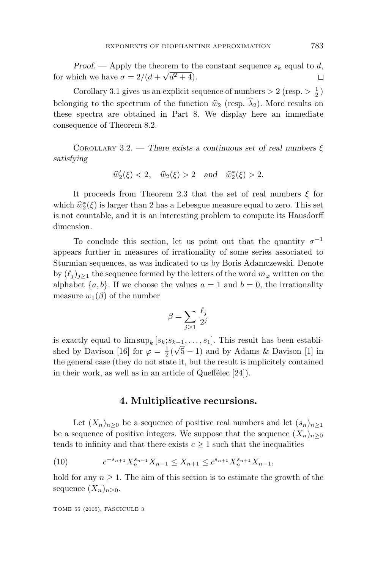*Proof.* — Apply the theorem to the constant sequence  $s_k$  equal to *d*, for which we have  $\sigma = 2/(d + \sqrt{d^2 + 4})$ .  $\Box$ 

Corollary 3.1 gives us an explicit sequence of numbers  $> 2$  (resp.  $> \frac{1}{2}$ ) belonging to the spectrum of the function  $\hat{w}_2$  (resp.  $\hat{\lambda}_2$ ). More results on these spectra are obtained in Part 8. We display here an immediate consequence of Theorem 8.2.

COROLLARY 3.2. — *There exists a continuous set of real numbers ξ satisfying*

$$
\widehat{w}'_2(\xi) < 2
$$
,  $\widehat{w}_2(\xi) > 2$  and  $\widehat{w}_2^*(\xi) > 2$ .

It proceeds from Theorem 2.3 that the set of real numbers *ξ* for which  $\hat{w}_2^*(\xi)$  is larger than 2 has a Lebesgue measure equal to zero. This set<br>is not countable, and it is an interesting problem to compute its Hausdorff is not countable, and it is an interesting problem to compute its Hausdorff dimension.

To conclude this section, let us point out that the quantity  $\sigma^{-1}$ appears further in measures of irrationality of some series associated to Sturmian sequences, as was indicated to us by Boris Adamczewski. Denote by  $(\ell_i)_{i\geq 1}$  the sequence formed by the letters of the word  $m_\varphi$  written on the alphabet  $\{a, b\}$ . If we choose the values  $a = 1$  and  $b = 0$ , the irrationality measure  $w_1(\beta)$  of the number

$$
\beta = \sum_{j \ge 1} \frac{\ell_j}{2^j}
$$

is exactly equal to  $\limsup_k [s_k; s_{k-1}, \ldots, s_1]$ . This result has been establis exactly equal to  $\limsup_k |s_k, s_{k-1}, \dots, s_1|$ . This result has been established by Davison [16] for  $\varphi = \frac{1}{2}(\sqrt{5}-1)$  and by Adams & Davison [1] in the general case (they do not state it, but the result is implicitely contained in their work, as well as in an article of Queffélec  $[24]$ .

#### **4. Multiplicative recursions.**

Let  $(X_n)_{n>0}$  be a sequence of positive real numbers and let  $(s_n)_{n\geq 1}$ be a sequence of positive integers. We suppose that the sequence  $(X_n)_{n\geq 0}$ tends to infinity and that there exists  $c \geq 1$  such that the inequalities

(10) 
$$
c^{-s_{n+1}}X_n^{s_{n+1}}X_{n-1} \le X_{n+1} \le c^{s_{n+1}}X_n^{s_{n+1}}X_{n-1},
$$

hold for any  $n \geq 1$ . The aim of this section is to estimate the growth of the sequence  $(X_n)_{n\geq 0}$ .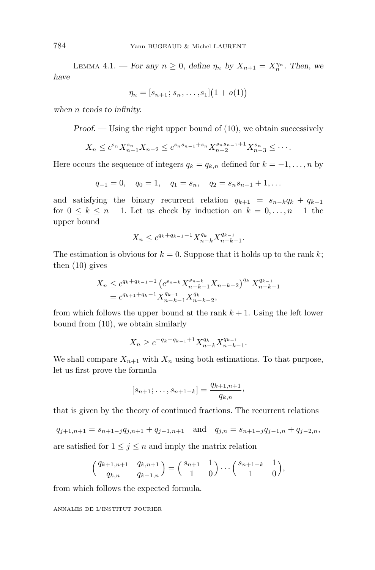LEMMA 4.1. — *For any*  $n \geq 0$ , *define*  $\eta_n$  *by*  $X_{n+1} = X_n^{\eta_n}$ . *Then*, *we have*

$$
\eta_n = [s_{n+1}; s_n, \dots, s_1] (1+o(1))
$$

*when n tends to infinity.*

*Proof.* — Using the right upper bound of  $(10)$ , we obtain successively

$$
X_n \leq c^{s_n} X_{n-1}^{s_n} X_{n-2} \leq c^{s_n s_{n-1} + s_n} X_{n-2}^{s_n s_{n-1} + 1} X_{n-3}^{s_n} \leq \cdots
$$

Here occurs the sequence of integers  $q_k = q_{k,n}$  defined for  $k = -1, \ldots, n$  by

$$
q_{-1} = 0
$$
,  $q_0 = 1$ ,  $q_1 = s_n$ ,  $q_2 = s_n s_{n-1} + 1$ ,...

and satisfying the binary recurrent relation  $q_{k+1} = s_{n-k}q_k + q_{k-1}$ for  $0 \leq k \leq n-1$ . Let us check by induction on  $k = 0, \ldots, n-1$  the upper bound

$$
X_n \le c^{q_k + q_{k-1} - 1} X_{n-k}^{q_k} X_{n-k-1}^{q_{k-1}}.
$$

The estimation is obvious for  $k = 0$ . Suppose that it holds up to the rank k; then (10) gives

$$
X_n \leq c^{q_k + q_{k-1} - 1} \left( c^{s_{n-k}} X_{n-k-1}^{s_{n-k}} X_{n-k-2}^{q_k} \right)^{q_k} X_{n-k-1}^{q_{k-1}}
$$
  
= 
$$
c^{q_{k+1} + q_k - 1} X_{n-k-1}^{q_{k+1}} X_{n-k-2}^{q_k},
$$

from which follows the upper bound at the rank  $k + 1$ . Using the left lower bound from (10), we obtain similarly

$$
X_n \ge c^{-q_k - q_{k-1} + 1} X_{n-k}^{q_k} X_{n-k-1}^{q_{k-1}}.
$$

We shall compare  $X_{n+1}$  with  $X_n$  using both estimations. To that purpose, let us first prove the formula

$$
[s_{n+1}; \ldots, s_{n+1-k}] = \frac{q_{k+1,n+1}}{q_{k,n}},
$$

that is given by the theory of continued fractions. The recurrent relations

$$
q_{j+1,n+1} = s_{n+1-j}q_{j,n+1} + q_{j-1,n+1}
$$
 and 
$$
q_{j,n} = s_{n+1-j}q_{j-1,n} + q_{j-2,n}
$$
,  
are satisfied for  $1 \le j \le n$  and imply the matrix relation

$$
\left(\begin{matrix}q_{k+1,n+1} & q_{k,n+1}\\ q_{k,n} & q_{k-1,n}\end{matrix}\right)=\left(\begin{matrix}s_{n+1} & 1\\ 1 & 0\end{matrix}\right)\cdots\left(\begin{matrix}s_{n+1-k} & 1\\ 1 & 0\end{matrix}\right),
$$

from which follows the expected formula.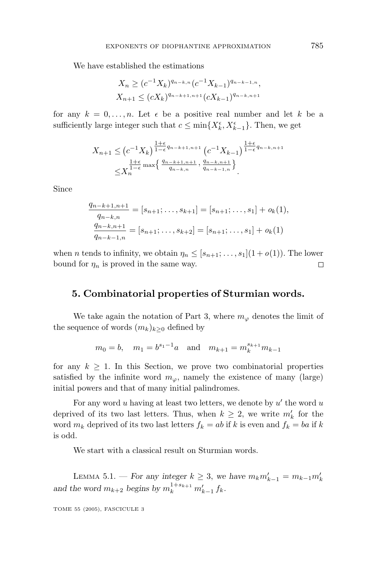We have established the estimations

$$
X_n \ge (c^{-1}X_k)^{q_{n-k,n}} (c^{-1}X_{k-1})^{q_{n-k-1,n}},
$$
  

$$
X_{n+1} \le (cX_k)^{q_{n-k+1,n+1}} (cX_{k-1})^{q_{n-k,n+1}}
$$

for any  $k = 0, \ldots, n$ . Let  $\epsilon$  be a positive real number and let k be a sufficiently large integer such that  $c \le \min\{X_k^{\epsilon}, X_{k-1}^{\epsilon}\}$ . Then, we get

$$
X_{n+1} \leq (c^{-1}X_k)^{\frac{1+\epsilon}{1-\epsilon}q_{n-k+1,n+1}} (c^{-1}X_{k-1})^{\frac{1+\epsilon}{1-\epsilon}q_{n-k,n+1}} \leq X_n^{\frac{1+\epsilon}{1-\epsilon} \max \left\{ \frac{q_{n-k+1,n+1}}{q_{n-k,n}}, \frac{q_{n-k,n+1}}{q_{n-k-1,n}} \right\}}
$$

Since

$$
\frac{q_{n-k+1,n+1}}{q_{n-k,n}} = [s_{n+1}; \dots, s_{k+1}] = [s_{n+1}; \dots, s_1] + o_k(1),
$$
  

$$
\frac{q_{n-k,n+1}}{q_{n-k-1,n}} = [s_{n+1}; \dots, s_{k+2}] = [s_{n+1}; \dots, s_1] + o_k(1)
$$

when *n* tends to infinity, we obtain  $\eta_n \leq [s_{n+1}; \ldots, s_1](1+o(1))$ . The lower bound for  $\eta_n$  is proved in the same way.  $\Box$ 

#### **5. Combinatorial properties of Sturmian words.**

We take again the notation of Part 3, where  $m_{\varphi}$  denotes the limit of the sequence of words  $(m_k)_{k>0}$  defined by

$$
m_0 = b
$$
,  $m_1 = b^{s_1-1}a$  and  $m_{k+1} = m_k^{s_{k+1}}m_{k-1}$ 

for any  $k \geq 1$ . In this Section, we prove two combinatorial properties satisfied by the infinite word  $m_\varphi$ , namely the existence of many (large) initial powers and that of many initial palindromes.

For any word *u* having at least two letters, we denote by *u'* the word *u* deprived of its two last letters. Thus, when  $k \geq 2$ , we write  $m'_{k}$  for the word  $m_k$  deprived of its two last letters  $f_k = ab$  if *k* is even and  $f_k = ba$  if *k* is odd.

We start with a classical result on Sturmian words.

LEMMA 5.1. − *For any integer*  $k \geq 3$ , we have  $m_k m'_{k-1} = m_{k-1} m'_{k}$ *and the word*  $m_{k+2}$  *begins by*  $m_k^{1+s_{k+1}} m'_{k-1} f_k$ *.*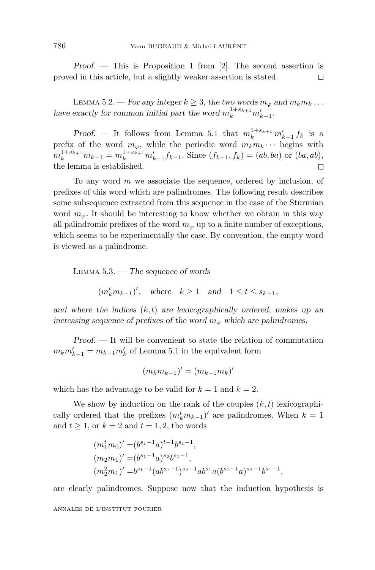*Proof*. — This is Proposition 1 from [2]. The second assertion is proved in this article, but a slightly weaker assertion is stated.  $\Box$ 

LEMMA 5.2. — For any integer  $k \geq 3$ , the two words  $m_{\varphi}$  and  $m_k m_k \dots$ have exactly for common initial part the word  $m_k^{1+s_{k+1}}m'_{k-1}$ .

*Proof.* — It follows from Lemma 5.1 that  $m_k^{1+s_{k+1}} m'_{k-1} f_k$  is a prefix of the word  $m_{\varphi}$ , while the periodic word  $m_k m_k \cdots$  begins with  $m_k^{1+s_{k+1}}m_{k-1} = m_k^{1+s_{k+1}}m'_{k-1}f_{k-1}$ . Since  $(f_{k-1}, f_k) = (ab, ba)$  or  $(ba, ab)$ , the lemma is established.  $\Box$ 

To any word *m* we associate the sequence, ordered by inclusion, of prefixes of this word which are palindromes. The following result describes some subsequence extracted from this sequence in the case of the Sturmian word  $m_{\varphi}$ . It should be interesting to know whether we obtain in this way all palindromic prefixes of the word  $m_\varphi$  up to a finite number of exceptions, which seems to be experimentally the case. By convention, the empty word is viewed as a palindrome.

LEMMA 5.3. — *The sequence of words*

$$
(m_k^tm_{k-1})'
$$
, where  $k \ge 1$  and  $1 \le t \le s_{k+1}$ ,

*and where the indices* (*k,t*) *are lexicographically ordered*, *makes up an increasing sequence of prefixes of the word*  $m_{\varphi}$  which are palindromes.

*Proof*. — It will be convenient to state the relation of commutation  $m_k m'_{k-1} = m_{k-1} m'_k$  of Lemma 5.1 in the equivalent form

$$
(m_k m_{k-1})' = (m_{k-1} m_k)'
$$

which has the advantage to be valid for  $k = 1$  and  $k = 2$ .

We show by induction on the rank of the couples (*k, t*) lexicographically ordered that the prefixes  $(m_k^tm_{k-1})'$  are palindromes. When  $k=1$ and  $t \geq 1$ , or  $k = 2$  and  $t = 1, 2$ , the words

$$
(m_1^t m_0)' = (b^{s_1-1}a)^{t-1}b^{s_1-1},
$$
  
\n
$$
(m_2m_1)' = (b^{s_1-1}a)^{s_2}b^{s_1-1},
$$
  
\n
$$
(m_2^2m_1)' = b^{s_1-1}(ab^{s_1-1})^{s_2-1}ab^{s_1}a(b^{s_1-1}a)^{s_2-1}b^{s_1-1},
$$

are clearly palindromes. Suppose now that the induction hypothesis is ANNALES DE L'INSTITUT FOURIER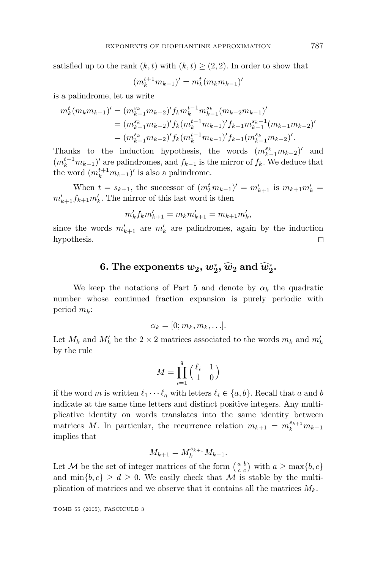satisfied up to the rank  $(k, t)$  with  $(k, t) > (2, 2)$ . In order to show that

$$
(m_k^{t+1} m_{k-1})' = m_k^t (m_k m_{k-1})
$$

 $\prime$ 

is a palindrome, let us write

$$
m_k^t (m_k m_{k-1})' = (m_{k-1}^{s_k} m_{k-2})' f_k m_k^{t-1} m_{k-1}^{s_k} (m_{k-2} m_{k-1})'
$$
  
=  $(m_{k-1}^{s_k} m_{k-2})' f_k (m_k^{t-1} m_{k-1})' f_{k-1} m_{k-1}^{s_k-1} (m_{k-1} m_{k-2})'$   
=  $(m_{k-1}^{s_k} m_{k-2})' f_k (m_k^{t-1} m_{k-1})' f_{k-1} (m_{k-1}^{s_k} m_{k-2})'.$ 

Thanks to the induction hypothesis, the words  $(m_{k-1}^{s_k}m_{k-2})'$  and  $(m_k^{t-1}m_{k-1})'$  are palindromes, and  $f_{k-1}$  is the mirror of  $f_k$ . We deduce that the word  $(m_k^{t+1}m_{k-1})'$  is also a palindrome.

When  $t = s_{k+1}$ , the successor of  $(m_k^t m_{k-1})' = m'_{k+1}$  is  $m_{k+1} m'_k =$  $m'_{k+1} f_{k+1} m'_{k}$ . The mirror of this last word is then

$$
m'_{k} f_{k} m'_{k+1} = m_{k} m'_{k+1} = m_{k+1} m'_{k},
$$

since the words  $m'_{k+1}$  are  $m'_{k}$  are palindromes, again by the induction hypothesis.  $\Box$ 

# **6.** The exponents  $w_2, w_2^*, \widehat{w}_2$  and  $\widehat{w}_2^*.$

We keep the notations of Part 5 and denote by  $\alpha_k$  the quadratic number whose continued fraction expansion is purely periodic with period *mk*:

$$
\alpha_k=[0;m_k,m_k,\ldots].
$$

Let  $M_k$  and  $M'_k$  be the 2 × 2 matrices associated to the words  $m_k$  and  $m'_k$ by the rule

$$
M = \prod_{i=1}^{q} \begin{pmatrix} \ell_i & 1\\ 1 & 0 \end{pmatrix}
$$

if the word *m* is written  $\ell_1 \cdots \ell_q$  with letters  $\ell_i \in \{a, b\}$ . Recall that *a* and *b* indicate at the same time letters and distinct positive integers. Any multiplicative identity on words translates into the same identity between matrices *M*. In particular, the recurrence relation  $m_{k+1} = m_k^{s_{k+1}} m_{k-1}$ implies that

$$
M_{k+1} = M_k^{s_{k+1}} M_{k-1}.
$$

Let M be the set of integer matrices of the form  $\begin{pmatrix} a & b \\ c & c \end{pmatrix}$  with  $a \ge \max\{b, c\}$ and  $\min\{b, c\} \geq d \geq 0$ . We easily check that M is stable by the multiplication of matrices and we observe that it contains all the matrices *Mk*.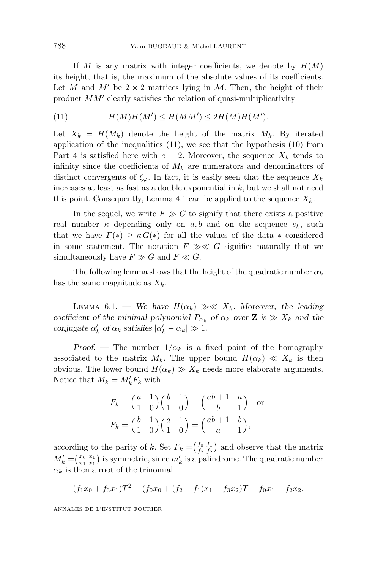If *M* is any matrix with integer coefficients, we denote by  $H(M)$ its height, that is, the maximum of the absolute values of its coefficients. Let *M* and *M'* be  $2 \times 2$  matrices lying in *M*. Then, the height of their product *MM'* clearly satisfies the relation of quasi-multiplicativity

(11) 
$$
H(M)H(M') \le H(MM') \le 2H(M)H(M').
$$

Let  $X_k = H(M_k)$  denote the height of the matrix  $M_k$ . By iterated application of the inequalities  $(11)$ , we see that the hypothesis  $(10)$  from Part 4 is satisfied here with  $c = 2$ . Moreover, the sequence  $X_k$  tends to infinity since the coefficients of  $M_k$  are numerators and denominators of distinct convergents of  $\xi_{\varphi}$ . In fact, it is easily seen that the sequence  $X_k$ increases at least as fast as a double exponential in *k*, but we shall not need this point. Consequently, Lemma 4.1 can be applied to the sequence  $X_k$ .

In the sequel, we write  $F \gg G$  to signify that there exists a positive real number  $\kappa$  depending only on  $a, b$  and on the sequence  $s_k$ , such that we have  $F(*) \geq \kappa G(*)$  for all the values of the data  $*$  considered in some statement. The notation  $F \gg \ll G$  signifies naturally that we simultaneously have  $F \gg G$  and  $F \ll G$ .

The following lemma shows that the height of the quadratic number  $\alpha_k$ has the same magnitude as *Xk*.

LEMMA 6.1. — We have  $H(\alpha_k) \gg \ll X_k$ . Moreover, the leading *coefficient of the minimal polynomial*  $P_{\alpha_k}$  *of*  $\alpha_k$  *over* **Z** *is*  $\gg X_k$  *and the conjugate*  $\alpha'_k$  *of*  $\alpha_k$  *satisfies*  $|\alpha'_k - \alpha_k| \gg 1$ *.* 

*Proof.* — The number  $1/\alpha_k$  is a fixed point of the homography associated to the matrix  $M_k$ . The upper bound  $H(\alpha_k) \ll X_k$  is then obvious. The lower bound  $H(\alpha_k) \gg X_k$  needs more elaborate arguments. Notice that  $M_k = M'_k F_k$  with

$$
F_k = \begin{pmatrix} a & 1 \\ 1 & 0 \end{pmatrix} \begin{pmatrix} b & 1 \\ 1 & 0 \end{pmatrix} = \begin{pmatrix} ab+1 & a \\ b & 1 \end{pmatrix}
$$
 or  

$$
F_k = \begin{pmatrix} b & 1 \\ 1 & 0 \end{pmatrix} \begin{pmatrix} a & 1 \\ 1 & 0 \end{pmatrix} = \begin{pmatrix} ab+1 & b \\ a & 1 \end{pmatrix},
$$

according to the parity of *k*. Set  $F_k = \begin{pmatrix} f_0 & f_1 \\ f_2 & f_2 \end{pmatrix}$  and observe that the matrix  $M'_k = \begin{pmatrix} x_0 & x_1 \\ x_1 & x_1 \end{pmatrix}$  is symmetric, since  $m'_k$  is a palindrome. The quadratic number  $\alpha_k$  is then a root of the trinomial

$$
(f_1x_0 + f_3x_1)T^2 + (f_0x_0 + (f_2 - f_1)x_1 - f_3x_2)T - f_0x_1 - f_2x_2.
$$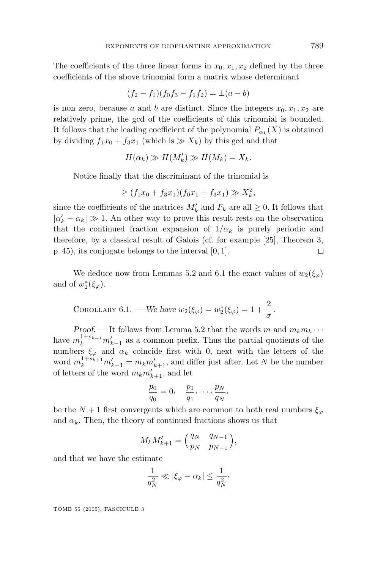The coefficients of the three linear forms in  $x_0, x_1, x_2$  defined by the three coefficients of the above trinomial form a matrix whose determinant

$$
(f_2 - f_1)(f_0f_3 - f_1f_2) = \pm (a - b)
$$

is non zero, because *a* and *b* are distinct. Since the integers  $x_0, x_1, x_2$  are relatively prime, the gcd of the coefficients of this trinomial is bounded. It follows that the leading coefficient of the polynomial  $P_{\alpha_k}(X)$  is obtained by dividing  $f_1x_0 + f_3x_1$  (which is  $\gg X_k$ ) by this gcd and that

$$
H(\alpha_k) \gg H(M'_k) \gg H(M_k) = X_k.
$$

Notice finally that the discriminant of the trinomial is

$$
\geq (f_1x_0 + f_3x_1)(f_0x_1 + f_3x_1) \gg X_k^2,
$$

since the coefficients of the matrices  $M'_k$  and  $F_k$  are all  $\geq 0$ . It follows that  $| \alpha'_k - \alpha_k | \gg 1$ . An other way to prove this result rests on the observation that the continued fraction expansion of  $1/\alpha_k$  is purely periodic and therefore, by a classical result of Galois (cf. for example [25], Theorem 3, p. 45), its conjugate belongs to the interval [0*,* 1].  $\Box$ 

We deduce now from Lemmas 5.2 and 6.1 the exact values of  $w_2(\xi_\varphi)$ and of  $w_2^*(\xi_\varphi)$ .

COROLLARY 6.1. We have 
$$
w_2(\xi_\varphi) = w_2^*(\xi_\varphi) = 1 + \frac{2}{\sigma}
$$
.

*Proof.* — It follows from Lemma 5.2 that the words *m* and  $m_k m_k \cdots$ have  $m_k^{1+s_{k+1}}m'_{k-1}$  as a common prefix. Thus the partial quotients of the numbers  $\xi_{\varphi}$  and  $\alpha_k$  coincide first with 0, next with the letters of the word  $m_k^{1+s_{k+1}}m'_{k-1} = m_k m'_{k+1}$ , and differ just after. Let *N* be the number of letters of the word  $m_k m'_{k+1}$ , and let

$$
\frac{p_0}{q_0}=0, \quad \frac{p_1}{q_1},\ldots,\frac{p_N}{q_N},
$$

be the  $N+1$  first convergents which are common to both real numbers  $\xi_{\varphi}$ and  $\alpha_k$ . Then, the theory of continued fractions shows us that

$$
M_k M'_{k+1} = \begin{pmatrix} q_N & q_{N-1} \\ p_N & p_{N-1} \end{pmatrix},
$$

and that we have the estimate

$$
\frac{1}{q_N^2} \ll |\xi_{\varphi} - \alpha_k| \le \frac{1}{q_N^2},
$$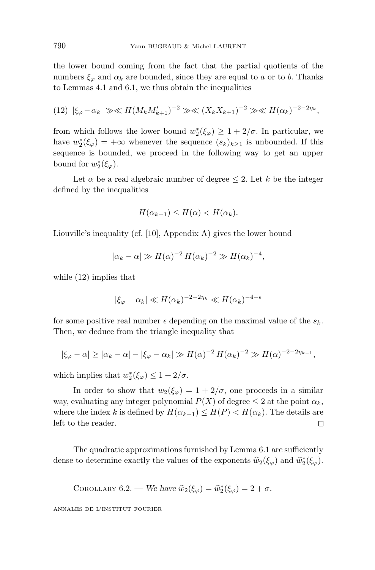the lower bound coming from the fact that the partial quotients of the numbers  $\xi_{\varphi}$  and  $\alpha_k$  are bounded, since they are equal to *a* or to *b*. Thanks to Lemmas 4.1 and 6.1, we thus obtain the inequalities

(12) 
$$
|\xi_{\varphi} - \alpha_k| \gg \ll H(M_k M_{k+1}')^{-2} \gg \ll (X_k X_{k+1})^{-2} \gg \ll H(\alpha_k)^{-2-2\eta_k}
$$
,

from which follows the lower bound  $w_2^*(\xi_{\varphi}) \geq 1+2/\sigma$ . In particular, we have  $w_2^*(\xi_{\varphi}) = +\infty$  whenever the sequence  $(s_k)_{k \geq 1}$  is unbounded. If this sequence is bounded, we proceed in the following way to get an upper bound for  $w_2^*(\xi_\varphi)$ .

Let  $\alpha$  be a real algebraic number of degree  $\leq 2$ . Let  $k$  be the integer defined by the inequalities

$$
H(\alpha_{k-1}) \le H(\alpha) < H(\alpha_k).
$$

Liouville's inequality (cf. [10], Appendix A) gives the lower bound

$$
|\alpha_k - \alpha| \gg H(\alpha)^{-2} H(\alpha_k)^{-2} \gg H(\alpha_k)^{-4},
$$

while (12) implies that

$$
|\xi_{\varphi} - \alpha_k| \ll H(\alpha_k)^{-2-2\eta_k} \ll H(\alpha_k)^{-4-\epsilon}
$$

for some positive real number  $\epsilon$  depending on the maximal value of the  $s_k$ . Then, we deduce from the triangle inequality that

$$
|\xi_{\varphi} - \alpha| \ge |\alpha_k - \alpha| - |\xi_{\varphi} - \alpha_k| \gg H(\alpha)^{-2} H(\alpha_k)^{-2} \gg H(\alpha)^{-2-2\eta_{k-1}},
$$

which implies that  $w_2^*(\xi_\varphi) \leq 1 + 2/\sigma$ .

In order to show that  $w_2(\xi_\varphi)=1+2/\sigma$ , one proceeds in a similar way, evaluating any integer polynomial  $P(X)$  of degree  $\leq 2$  at the point  $\alpha_k$ , where the index *k* is defined by  $H(\alpha_{k-1}) \leq H(P) < H(\alpha_k)$ . The details are left to the reader.  $\Box$ 

The quadratic approximations furnished by Lemma 6.1 are sufficiently dense to determine exactly the values of the exponents  $\hat{w}_2(\xi_{\varphi})$  and  $\hat{w}_2^*(\xi_{\varphi})$ .

COROLLARY 6.2. We have 
$$
\hat{w}_2(\xi_{\varphi}) = \hat{w}_2^*(\xi_{\varphi}) = 2 + \sigma
$$
.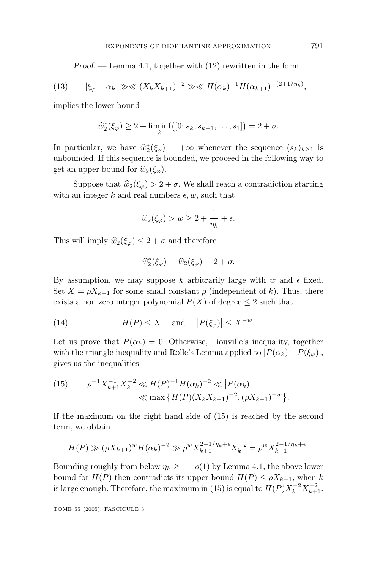*Proof*. — Lemma 4.1, together with (12) rewritten in the form

(13) 
$$
|\xi_{\varphi} - \alpha_k| \gg \ll (X_k X_{k+1})^{-2} \gg \ll H(\alpha_k)^{-1} H(\alpha_{k+1})^{-(2+1/\eta_k)},
$$

implies the lower bound

$$
\widehat{w}_2^*(\xi_{\varphi}) \ge 2 + \liminf_k ([0; s_k, s_{k-1}, \dots, s_1]) = 2 + \sigma.
$$

In particular, we have  $\hat{w}_2^*(\xi_{\varphi}) = +\infty$  whenever the sequence  $(s_k)_{k\geq 1}$  is<br>unbounded If this sequence is bounded we proceed in the following way to unbounded. If this sequence is bounded, we proceed in the following way to get an upper bound for  $\hat{w}_2(\xi_\varphi)$ .

Suppose that  $\hat{w}_2(\xi_\varphi) > 2 + \sigma$ . We shall reach a contradiction starting with an integer k and real numbers  $\epsilon, w$ , such that

$$
\widehat{w}_2(\xi_\varphi) > w \ge 2 + \frac{1}{\eta_k} + \epsilon.
$$

This will imply  $\hat{w}_2(\xi_\varphi) \leq 2 + \sigma$  and therefore

$$
\widehat{w}_2^*(\xi_\varphi) = \widehat{w}_2(\xi_\varphi) = 2 + \sigma.
$$

By assumption, we may suppose k arbitrarily large with  $w$  and  $\epsilon$  fixed. Set  $X = \rho X_{k+1}$  for some small constant  $\rho$  (independent of k). Thus, there exists a non zero integer polynomial  $P(X)$  of degree  $\leq 2$  such that

(14) 
$$
H(P) \leq X \quad \text{and} \quad |P(\xi_{\varphi})| \leq X^{-w}.
$$

Let us prove that  $P(\alpha_k) = 0$ . Otherwise, Liouville's inequality, together with the triangle inequality and Rolle's Lemma applied to  $|P(\alpha_k) - P(\xi_{\varphi})|$ , gives us the inequalities

(15) 
$$
\rho^{-1} X_{k+1}^{-1} X_k^{-2} \ll H(P)^{-1} H(\alpha_k)^{-2} \ll |P(\alpha_k)|
$$

$$
\ll \max \{ H(P) (X_k X_{k+1})^{-2}, (\rho X_{k+1})^{-w} \}.
$$

If the maximum on the right hand side of (15) is reached by the second term, we obtain

$$
H(P) \gg (\rho X_{k+1})^w H(\alpha_k)^{-2} \gg \rho^w X_{k+1}^{2+1/\eta_k + \epsilon} X_k^{-2} = \rho^w X_{k+1}^{2-1/\eta_k + \epsilon}.
$$

Bounding roughly from below  $\eta_k \geq 1-o(1)$  by Lemma 4.1, the above lower bound for  $H(P)$  then contradicts its upper bound  $H(P) \leq \rho X_{k+1}$ , when *k* is large enough. Therefore, the maximum in (15) is equal to  $H(P)X_k^{-2}X_{k+1}^{-2}$ .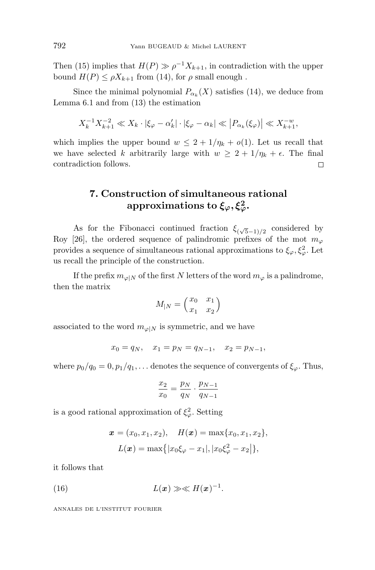Then (15) implies that  $H(P) \gg \rho^{-1} X_{k+1}$ , in contradiction with the upper bound  $H(P) \leq \rho X_{k+1}$  from (14), for  $\rho$  small enough.

Since the minimal polynomial  $P_{\alpha_k}(X)$  satisfies (14), we deduce from Lemma 6.1 and from (13) the estimation

$$
X_k^{-1} X_{k+1}^{-2} \ll X_k \cdot |\xi_{\varphi} - \alpha'_k| \cdot |\xi_{\varphi} - \alpha_k| \ll |P_{\alpha_k}(\xi_{\varphi})| \ll X_{k+1}^{-w},
$$

which implies the upper bound  $w \leq 2 + 1/\eta_k + o(1)$ . Let us recall that we have selected *k* arbitrarily large with  $w \geq 2 + 1/\eta_k + \epsilon$ . The final contradiction follows.  $\Box$ 

### **7. Construction of simultaneous rational**  $\text{approximations to }\xi_\varphi,\xi_\varphi^2.$

As for the Fibonacci continued fraction  $\xi_{(\sqrt{5}-1)/2}$  considered by Roy [26], the ordered sequence of palindromic prefixes of the mot  $m_\varphi$ provides a sequence of simultaneous rational approximations to  $\xi_{\varphi}, \xi_{\varphi}^2$ . Let us recall the principle of the construction.

If the prefix  $m_{\varphi}|_N$  of the first *N* letters of the word  $m_{\varphi}$  is a palindrome, then the matrix

$$
M_{|N}=\begin{pmatrix}x_0&x_1\\x_1&x_2\end{pmatrix}
$$

associated to the word  $m_{\varphi|N}$  is symmetric, and we have

$$
x_0 = q_N, \quad x_1 = p_N = q_{N-1}, \quad x_2 = p_{N-1},
$$

where  $p_0/q_0 = 0$ ,  $p_1/q_1$ ,... denotes the sequence of convergents of  $\xi_\varphi$ . Thus,

$$
\frac{x_2}{x_0} = \frac{p_N}{q_N} \cdot \frac{p_{N-1}}{q_{N-1}}
$$

is a good rational approximation of  $\xi_{\varphi}^2$ . Setting

$$
\mathbf{x} = (x_0, x_1, x_2), \quad H(\mathbf{x}) = \max\{x_0, x_1, x_2\},
$$

$$
L(\mathbf{x}) = \max\{|x_0\xi_\varphi - x_1|, |x_0\xi_\varphi^2 - x_2|\},
$$

it follows that

(16) 
$$
L(\boldsymbol{x}) \gg \ll H(\boldsymbol{x})^{-1}.
$$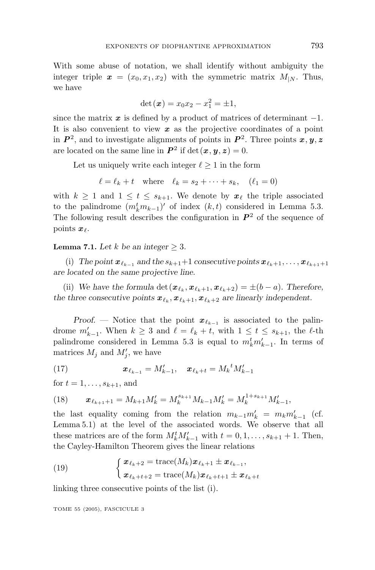With some abuse of notation, we shall identify without ambiguity the integer triple  $x = (x_0, x_1, x_2)$  with the symmetric matrix  $M_{1N}$ . Thus, we have

$$
\det(\bm{x}) = x_0 x_2 - x_1^2 = \pm 1,
$$

since the matrix  $x$  is defined by a product of matrices of determinant  $-1$ . It is also convenient to view *x* as the projective coordinates of a point in  $P^2$ , and to investigate alignments of points in  $P^2$ . Three points  $x, y, z$ are located on the same line in  $P^2$  if det( $x, y, z$ ) = 0.

Let us uniquely write each integer  $\ell \geq 1$  in the form

 $\ell = \ell_k + t$  where  $\ell_k = s_2 + \cdots + s_k$ ,  $(\ell_1 = 0)$ 

with  $k \geq 1$  and  $1 \leq t \leq s_{k+1}$ . We denote by  $x_{\ell}$  the triple associated to the palindrome  $(m_k^tm_{k-1})'$  of index  $(k,t)$  considered in Lemma 5.3. The following result describes the configuration in  $P^2$  of the sequence of points  $x_{\ell}$ .

**Lemma 7.1.** Let  $k$  be an integer  $\geq 3$ .

(i) The point  $x_{\ell_{k-1}}$  and the  $s_{k+1}+1$  consecutive points  $x_{\ell_{k}+1},\ldots,x_{\ell_{k+1}+1}$ *are located on the same projective line.*

(ii) We have the formula det $(\mathbf{x}_{\ell_k}, \mathbf{x}_{\ell_k+1}, \mathbf{x}_{\ell_k+2}) = \pm (b-a)$ . Therefore, *the three consecutive points*  $\mathbf{x}_{\ell_k}, \mathbf{x}_{\ell_k+1}, \mathbf{x}_{\ell_k+2}$  are linearly independent.

*Proof.* — Notice that the point  $x_{\ell_{k-1}}$  is associated to the palindrome  $m'_{k-1}$ . When  $k \geq 3$  and  $\ell = \ell_k + t$ , with  $1 \leq t \leq s_{k+1}$ , the  $\ell$ -th palindrome considered in Lemma 5.3 is equal to  $m_k^t m'_{k-1}$ . In terms of matrices  $M_j$  and  $M'_j$ , we have

(17) 
$$
\boldsymbol{x}_{\ell_{k-1}} = M'_{k-1}, \quad \boldsymbol{x}_{\ell_k+t} = M_k^{\ t} M'_{k-1}
$$

for  $t = 1, ..., s_{k+1}$ , and

(18) 
$$
\boldsymbol{x}_{\ell_{k+1}+1} = M_{k+1} M'_k = M_k^{s_{k+1}} M_{k-1} M'_k = M_k^{1+s_{k+1}} M'_{k-1},
$$

the last equality coming from the relation  $m_{k-1}m'_k = m_km'_{k-1}$  (cf. Lemma 5.1) at the level of the associated words. We observe that all these matrices are of the form  $M_k^t M'_{k-1}$  with  $t = 0, 1, \ldots, s_{k+1} + 1$ . Then, the Cayley-Hamilton Theorem gives the linear relations

(19) 
$$
\begin{cases} \boldsymbol{x}_{\ell_k+2} = \text{trace}(M_k)\boldsymbol{x}_{\ell_k+1} \pm \boldsymbol{x}_{\ell_{k-1}},\\ \boldsymbol{x}_{\ell_k+t+2} = \text{trace}(M_k)\boldsymbol{x}_{\ell_k+t+1} \pm \boldsymbol{x}_{\ell_k+t} \end{cases}
$$

linking three consecutive points of the list (i).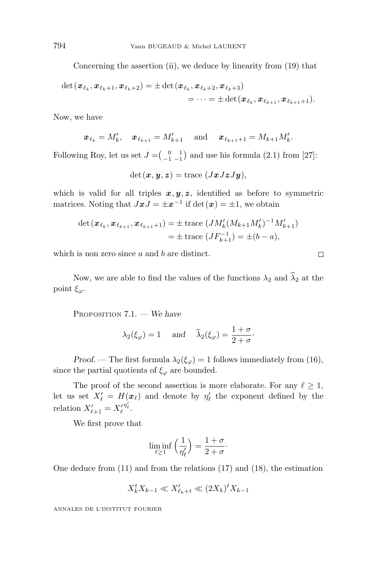Concerning the assertion (ii), we deduce by linearity from  $(19)$  that

$$
\begin{aligned} \det(\pmb{x}_{\ell_k}, \pmb{x}_{\ell_k+1}, \pmb{x}_{\ell_k+2}) = \pm \det(\pmb{x}_{\ell_k}, \pmb{x}_{\ell_k+2}, \pmb{x}_{\ell_k+3}) \\ = \cdots = \pm \det(\pmb{x}_{\ell_k}, \pmb{x}_{\ell_{k+1}}, \pmb{x}_{\ell_{k+1}+1}). \end{aligned}
$$

Now, we have

$$
\boldsymbol{x}_{\ell_k} = M'_k, \quad \boldsymbol{x}_{\ell_{k+1}} = M'_{k+1} \quad \text{ and } \quad \boldsymbol{x}_{\ell_{k+1}+1} = M_{k+1} M'_{k}.
$$

Following Roy, let us set  $J = \begin{pmatrix} 0 & 1 \\ -1 & -1 \end{pmatrix}$  and use his formula (2.1) from [27]:

 $det(\mathbf{x}, \mathbf{y}, \mathbf{z}) = \text{trace}(J\mathbf{x}J\mathbf{z}J\mathbf{y}),$ 

which is valid for all triples  $x, y, z$ , identified as before to symmetric matrices. Noting that  $JxJ = \pm x^{-1}$  if det $(x) = \pm 1$ , we obtain

$$
\det(\boldsymbol{x}_{\ell_k}, \boldsymbol{x}_{\ell_{k+1}}, \boldsymbol{x}_{\ell_{k+1}+1}) = \pm \operatorname{trace} (JM_k'(M_{k+1}M_k')^{-1}M_{k+1}')
$$
  
=  $\pm \operatorname{trace} (JF_{k+1}^{-1}) = \pm (b-a),$ 

 $\Box$ 

which is non zero since *a* and *b* are distinct.

Now, we are able to find the values of the functions  $\lambda_2$  and  $\widehat{\lambda}_2$  at the point *ξϕ*.

PROPOSITION 7.1. — *We have*

$$
\lambda_2(\xi_\varphi) = 1
$$
 and  $\widehat{\lambda}_2(\xi_\varphi) = \frac{1+\sigma}{2+\sigma}$ .

*Proof.* — The first formula  $\lambda_2(\xi_\varphi) = 1$  follows immediately from (16), since the partial quotients of  $\xi_{\varphi}$  are bounded.

The proof of the second assertion is more elaborate. For any  $\ell \geq 1$ , let us set  $X'_{\ell} = H(x_{\ell})$  and denote by  $\eta'_{\ell}$  the exponent defined by the relation  $X'_{\ell+1} = X'^{\eta'_{\ell}}_{\ell}$ .

We first prove that

$$
\liminf_{\ell \ge 1} \left( \frac{1}{\eta'_\ell} \right) = \frac{1+\sigma}{2+\sigma}.
$$

One deduce from (11) and from the relations (17) and (18), the estimation

$$
X_k^t X_{k-1} \ll X_{\ell_k+t}' \ll (2X_k)^t X_{k-1}
$$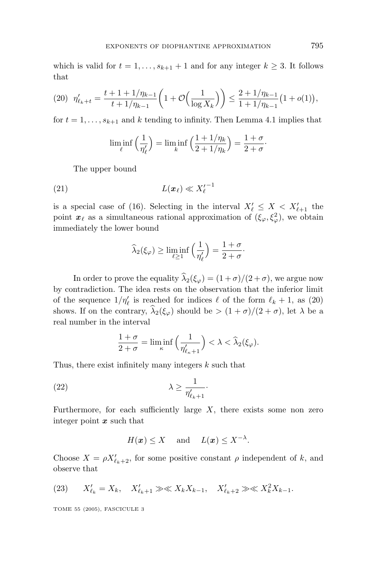which is valid for  $t = 1, \ldots, s_{k+1} + 1$  and for any integer  $k \geq 3$ . It follows that

$$
(20) \ \ \eta'_{\ell_k+t} = \frac{t+1+1/\eta_{k-1}}{t+1/\eta_{k-1}} \left(1+\mathcal{O}\Big(\frac{1}{\log X_k}\Big)\right) \le \frac{2+1/\eta_{k-1}}{1+1/\eta_{k-1}} \left(1+o(1)\right),
$$

for  $t = 1, \ldots, s_{k+1}$  and  $k$  tending to infinity. Then Lemma 4.1 implies that

$$
\liminf_{\ell} \left( \frac{1}{\eta_{\ell}'} \right) = \liminf_{k} \left( \frac{1 + 1/\eta_k}{2 + 1/\eta_k} \right) = \frac{1 + \sigma}{2 + \sigma}.
$$

The upper bound

$$
L(\boldsymbol{x}_{\ell}) \ll X_{\ell}'^{-1}
$$

is a special case of (16). Selecting in the interval  $X'_{\ell} \leq X < X'_{\ell+1}$  the point  $x_{\ell}$  as a simultaneous rational approximation of  $(\xi_{\varphi}, \xi_{\varphi}^2)$ , we obtain immediately the lower bound

$$
\widehat{\lambda}_2(\xi_{\varphi}) \ge \liminf_{\ell \ge 1} \left( \frac{1}{\eta_{\ell}'} \right) = \frac{1+\sigma}{2+\sigma}.
$$

In order to prove the equality  $\hat{\lambda}_2(\xi_\varphi) = (1+\sigma)/(2+\sigma)$ , we argue now by contradiction. The idea rests on the observation that the inferior limit of the sequence  $1/\eta'_{\ell}$  is reached for indices  $\ell$  of the form  $\ell_k + 1$ , as (20) shows. If on the contrary,  $\widehat{\lambda}_2(\xi_\varphi)$  should be  $>(1+\sigma)/(2+\sigma)$ , let  $\lambda$  be a real number in the interval

$$
\frac{1+\sigma}{2+\sigma} = \liminf_{\kappa} \left( \frac{1}{\eta'_{\ell_{\kappa}+1}} \right) < \lambda < \widehat{\lambda}_2(\xi_{\varphi}).
$$

Thus, there exist infinitely many integers *k* such that

(22) 
$$
\lambda \geq \frac{1}{\eta'_{\ell_k+1}}.
$$

Furthermore, for each sufficiently large  $X$ , there exists some non zero integer point *x* such that

$$
H(\boldsymbol{x}) \leq X \quad \text{ and } \quad L(\boldsymbol{x}) \leq X^{-\lambda}.
$$

Choose  $X = \rho X'_{\ell_k+2}$ , for some positive constant  $\rho$  independent of  $k$ , and observe that

(23) 
$$
X'_{\ell_k} = X_k, \quad X'_{\ell_k+1} \gg \ll X_k X_{k-1}, \quad X'_{\ell_k+2} \gg \ll X_k^2 X_{k-1}.
$$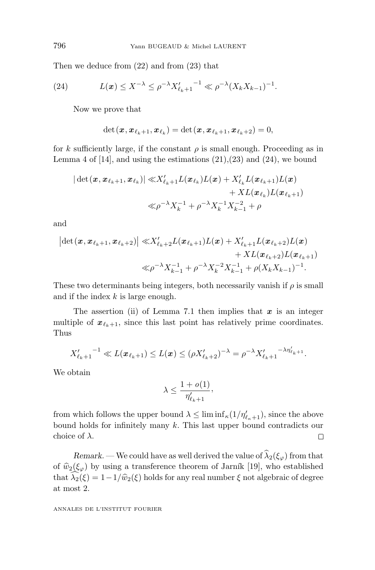Then we deduce from (22) and from (23) that

(24) 
$$
L(\boldsymbol{x}) \leq X^{-\lambda} \leq \rho^{-\lambda} X'_{\ell_k+1}^{-1} \ll \rho^{-\lambda} (X_k X_{k-1})^{-1}.
$$

Now we prove that

$$
\det(\boldsymbol{x},\boldsymbol{x}_{\ell_k+1},\boldsymbol{x}_{\ell_k})=\det(\boldsymbol{x},\boldsymbol{x}_{\ell_k+1},\boldsymbol{x}_{\ell_k+2})=0,
$$

for *k* sufficiently large, if the constant  $\rho$  is small enough. Proceeding as in Lemma 4 of [14], and using the estimations  $(21),(23)$  and  $(24)$ , we bound

$$
\begin{aligned} |\det(\pmb{x},\pmb{x}_{\ell_k+1},\pmb{x}_{\ell_k})| \ll & X'_{\ell_k+1}L(\pmb{x}_{\ell_k})L(\pmb{x}) + X'_{\ell_k}L(\pmb{x}_{\ell_k+1})L(\pmb{x}) \\ &\qquad \qquad + XL(\pmb{x}_{\ell_k})L(\pmb{x}_{\ell_k+1}) \\ \ll & \rho^{-\lambda}X_k^{-1} + \rho^{-\lambda}X_k^{-1}X_{k-1}^{-2} + \rho \end{aligned}
$$

and

$$
\begin{aligned} \left| \det \left( \boldsymbol{x}, \boldsymbol{x}_{\ell_k+1}, \boldsymbol{x}_{\ell_k+2} \right) \right| \ll & X'_{\ell_k+2} L(\boldsymbol{x}_{\ell_k+1}) L(\boldsymbol{x}) + X'_{\ell_k+1} L(\boldsymbol{x}_{\ell_k+2}) L(\boldsymbol{x}) \\ & \qquad + X L(\boldsymbol{x}_{\ell_k+2}) L(\boldsymbol{x}_{\ell_k+1}) \\ \ll & \rho^{-\lambda} X_{k-1}^{-1} + \rho^{-\lambda} X_k^{-2} X_{k-1}^{-1} + \rho (X_k X_{k-1})^{-1}. \end{aligned}
$$

These two determinants being integers, both necessarily vanish if  $\rho$  is small and if the index *k* is large enough.

The assertion (ii) of Lemma 7.1 then implies that *x* is an integer multiple of  $x_{\ell_k+1}$ , since this last point has relatively prime coordinates. Thus

$$
{X'_{\ell_k+1}}^{-1} \ll L(\pmb{x}_{\ell_k+1}) \leq L(\pmb{x}) \leq (\rho X'_{\ell_k+2})^{-\lambda} = \rho^{-\lambda} X'_{\ell_k+1}^{-\lambda \eta'_{\ell_k+1}}.
$$

We obtain

$$
\lambda \leq \frac{1+o(1)}{\eta'_{\ell_k+1}},
$$

from which follows the upper bound  $\lambda \leq \liminf_{\kappa} (1/\eta'_{\ell_{\kappa}+1})$ , since the above bound holds for infinitely many *k*. This last upper bound contradicts our choice of *λ*.  $\Box$ 

*Remark.* — We could have as well derived the value of  $\hat{\lambda}_2(\xi_\varphi)$  from that of  $\hat{w}_2(\xi_{\varphi})$  by using a transference theorem of Jarník [19], who established that  $\lambda_2(\xi) = 1 - 1/\hat{w}_2(\xi)$  holds for any real number  $\xi$  not algebraic of degree<br>at most 2 at most 2.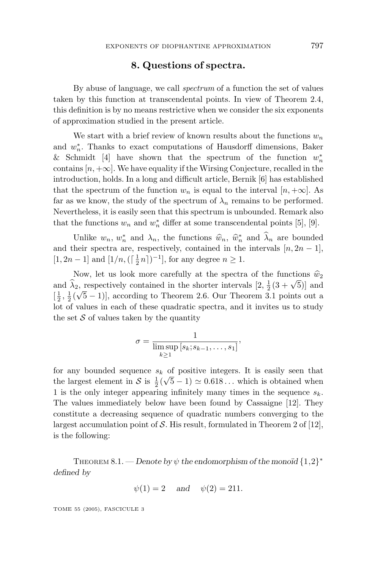#### **8. Questions of spectra.**

By abuse of language, we call spectrum of a function the set of values taken by this function at transcendental points. In view of Theorem 2.4, this definition is by no means restrictive when we consider the six exponents of approximation studied in the present article.

We start with a brief review of known results about the functions  $w_n$ and  $w<sub>n</sub><sup>∗</sup>$ . Thanks to exact computations of Hausdorff dimensions, Baker & Schmidt [4] have shown that the spectrum of the function *w*<sup>∗</sup> *n* contains  $[n, +\infty]$ . We have equality if the Wirsing Conjecture, recalled in the introduction, holds. In a long and difficult article, Bernik [6] has established that the spectrum of the function  $w_n$  is equal to the interval  $[n, +\infty]$ . As far as we know, the study of the spectrum of  $\lambda_n$  remains to be performed. Nevertheless, it is easily seen that this spectrum is unbounded. Remark also that the functions  $w_n$  and  $w_n^*$  differ at some transcendental points [5], [9].

Unlike  $w_n$ ,  $w_n^*$  and  $\lambda_n$ , the functions  $\hat{w}_n$ ,  $\hat{w}_n^*$  and  $\lambda_n$  are bounded heir spectra are respectively contained in the intervals  $[n, 2n-1]$ and their spectra are, respectively, contained in the intervals  $[n, 2n-1]$ , [1,2*n* − 1] and [1/*n*,  $(\lceil \frac{1}{2}n \rceil)^{-1}$ ], for any degree *n* ≥ 1.

Now, let us look more carefully at the spectra of the functions  $\hat{w}_2$ and  $\hat{\lambda}_2$ , respectively contained in the shorter intervals  $[2, \frac{1}{2}(3 + \sqrt{5})]$  and  $[1, 1/\sqrt{5}, 1]$  $\left[\frac{1}{2}, \frac{1}{2}(\sqrt{5}-1)\right]$ , according to Theorem 2.6. Our Theorem 3.1 points out a lot of values in each of these quadratic spectra, and it invites us to study the set  $S$  of values taken by the quantity

$$
\sigma = \frac{1}{\limsup_{k \ge 1} [s_k; s_{k-1}, \dots, s_1]},
$$

for any bounded sequence  $s_k$  of positive integers. It is easily seen that the largest element in S is  $\frac{1}{2}(\sqrt{5}-1) \approx 0.618...$  which is obtained when 1 is the only integer appearing infinitely many times in the sequence *sk*. The values immediately below have been found by Cassaigne [12]. They constitute a decreasing sequence of quadratic numbers converging to the largest accumulation point of  $S$ . His result, formulated in Theorem 2 of [12], is the following:

THEOREM 8.1. — *Denote by*  $\psi$  *the endomorphism of the monoïd*  $\{1,2\}^*$ *defined by*

$$
\psi(1) = 2
$$
 and  $\psi(2) = 211$ .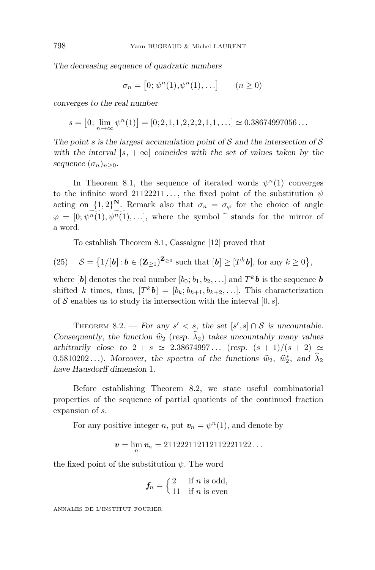*The decreasing sequence of quadratic numbers*

$$
\sigma_n = [0; \psi^n(1), \psi^n(1), \ldots] \qquad (n \ge 0)
$$

*converges to the real number*

$$
s = [0; \lim_{n \to \infty} \psi^{n}(1)] = [0; 2, 1, 1, 2, 2, 2, 1, 1, \ldots] \simeq 0.38674997056 \ldots
$$

*The point s is the largest accumulation point of* S *and the intersection of* S *with the interval*  $|s, +\infty|$  *coincides with the set of values taken by the sequence*  $(\sigma_n)_{n>0}$ *.* 

In Theorem 8.1, the sequence of iterated words  $\psi^{n}(1)$  converges to the infinite word  $21122211...$ , the fixed point of the substitution  $\psi$ acting on  $\{1,2\}^N$ . Remark also that  $\sigma_n = \sigma_\varphi$  for the choice of angle  $\varphi = [0; \widetilde{\psi^n(1)}, \widetilde{\psi^n(1)}, \ldots]$ , where the symbol  $\tilde{\ }$  stands for the mirror of a word.

To establish Theorem 8.1, Cassaigne [12] proved that

(25) 
$$
\mathcal{S} = \left\{1/[b]: b \in (\mathbf{Z}_{\geq 1})^{\mathbf{Z}_{\geq 0}} \text{ such that } [b] \geq [T^k b], \text{ for any } k \geq 0 \right\},\
$$

where  $[\boldsymbol{b}]$  denotes the real number  $[b_0; b_1, b_2, \ldots]$  and  $T^k \boldsymbol{b}$  is the sequence  $\boldsymbol{b}$ shifted *k* times, thus,  $[T^k b] = [b_k; b_{k+1}, b_{k+2}, \ldots]$ . This characterization of  $S$  enables us to study its intersection with the interval  $[0, s]$ .

THEOREM 8.2. — For any  $s' < s$ , the set  $[s', s] \cap S$  is uncountable. *Consequently, the function*  $\hat{w}_2$  (*resp.*  $\hat{\lambda}_2$ ) *takes uncountably many values arbitrarily close to*  $2 + s \approx 2.38674997...$  (*resp.*  $(s + 1)/(s + 2) \approx$ 0.5810202...). Moreover, the spectra of the functions  $\hat{w}_2$ ,  $\hat{w}_2^*$ , and  $\hat{\lambda}_2$ <br>have Hausdorff dimension 1 *have Hausdorff dimension* 1*.*

Before establishing Theorem 8.2, we state useful combinatorial properties of the sequence of partial quotients of the continued fraction expansion of *s*.

For any positive integer *n*, put  $v_n = \psi^n(1)$ , and denote by

$$
\mathbf{v} = \lim_n \mathbf{v}_n = 211222112112112221122\ldots
$$

the fixed point of the substitution  $\psi$ . The word

$$
f_n = \begin{cases} 2 & \text{if } n \text{ is odd,} \\ 11 & \text{if } n \text{ is even} \end{cases}
$$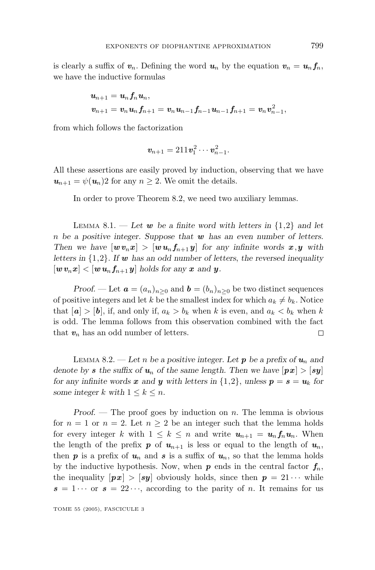is clearly a suffix of  $v_n$ . Defining the word  $u_n$  by the equation  $v_n = u_n f_n$ , we have the inductive formulas

$$
\begin{aligned} &\pmb{u}_{n+1} = \pmb{u}_n \pmb{f}_n \pmb{u}_n, \\ &\pmb{v}_{n+1} = \pmb{v}_n \pmb{u}_n \pmb{f}_{n+1} = \pmb{v}_n \pmb{u}_{n-1} \pmb{f}_{n-1} \pmb{u}_{n-1} \pmb{f}_{n+1} = \pmb{v}_n \pmb{v}_{n-1}^2, \end{aligned}
$$

from which follows the factorization

$$
\mathbf{v}_{n+1}=211\mathbf{v}_1^2\cdots\mathbf{v}_{n-1}^2.
$$

All these assertions are easily proved by induction, observing that we have  $u_{n+1} = \psi(u_n)$ 2 for any  $n \geq 2$ . We omit the details.

In order to prove Theorem 8.2, we need two auxiliary lemmas.

LEMMA 8.1. — Let  $w$  be a finite word with letters in  $\{1,2\}$  and let *n be a positive integer. Suppose that w has an even number of letters. Then we have*  $[w v_n x] > [w u_n f_{n+1} y]$  *for any infinite words*  $x, y$  *with letters in* {1*,*2}*. If w has an odd number of letters*, *the reversed inequality*  $[w v_n x] < [w u_n f_{n+1} y]$  holds for any x and y.

*Proof.* — Let  $\mathbf{a} = (a_n)_{n>0}$  and  $\mathbf{b} = (b_n)_{n>0}$  be two distinct sequences of positive integers and let *k* be the smallest index for which  $a_k \neq b_k$ . Notice that  $[a] > [b]$ , if, and only if,  $a_k > b_k$  when *k* is even, and  $a_k < b_k$  when *k* is odd. The lemma follows from this observation combined with the fact that  $v_n$  has an odd number of letters.  $\Box$ 

LEMMA 8.2. — Let *n* be a positive integer. Let **p** be a prefix of  $u_n$  and *denote by s* the suffix of  $u_n$  of the same length. Then we have  $|px| > |sy|$ *for any infinite words x and y* with letters in  $\{1,2\}$ , *unless*  $p = s = u_k$  *for some integer*  $k$  *with*  $1 \leq k \leq n$ *.* 

*Proof*. — The proof goes by induction on *n*. The lemma is obvious for  $n = 1$  or  $n = 2$ . Let  $n \geq 2$  be an integer such that the lemma holds for every integer *k* with  $1 \leq k \leq n$  and write  $u_{n+1} = u_n f_n u_n$ . When the length of the prefix  $p$  of  $u_{n+1}$  is less or equal to the length of  $u_n$ , then  $p$  is a prefix of  $u_n$  and  $s$  is a suffix of  $u_n$ , so that the lemma holds by the inductive hypothesis. Now, when  $p$  ends in the central factor  $f_n$ , the inequality  $[px] > [sy]$  obviously holds, since then  $p = 21 \cdots$  while  $s = 1 \cdots$  or  $s = 22 \cdots$ , according to the parity of *n*. It remains for us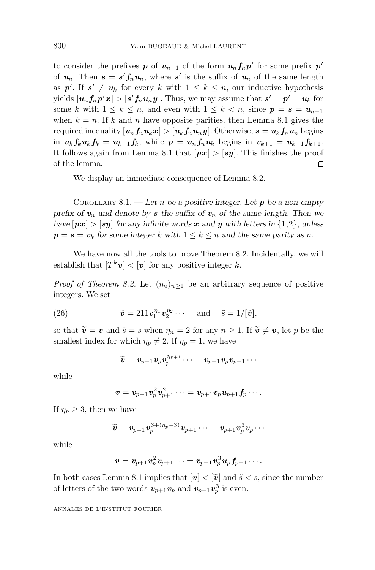to consider the prefixes **p** of  $u_{n+1}$  of the form  $u_n f_n p'$  for some prefix  $p'$ of  $u_n$ . Then  $s = s' f_n u_n$ , where s' is the suffix of  $u_n$  of the same length as  $p'$ . If  $s' \neq u_k$  for every k with  $1 \leq k \leq n$ , our inductive hypothesis yields  $[\boldsymbol{u}_n f_n \boldsymbol{p}' \boldsymbol{x}] > [\boldsymbol{s}' f_n \boldsymbol{u}_n \boldsymbol{y}]$ . Thus, we may assume that  $\boldsymbol{s}' = \boldsymbol{p}' = \boldsymbol{u}_k$  for some *k* with  $1 \leq k \leq n$ , and even with  $1 \leq k < n$ , since  $p = s = u_{n+1}$ when  $k = n$ . If k and n have opposite parities, then Lemma 8.1 gives the required inequality  $[u_n f_n u_k x] > [u_k f_n u_n y]$ . Otherwise,  $s = u_k f_n u_n$  begins in  $u_k f_k u_k f_k = u_{k+1} f_k$ , while  $p = u_n f_n u_k$  begins in  $v_{k+1} = u_{k+1} f_{k+1}$ . It follows again from Lemma 8.1 that  $[px] > [sy]$ . This finishes the proof of the lemma.  $\Box$ 

We display an immediate consequence of Lemma 8.2.

COROLLARY 8.1. — *Let n be a positive integer. Let p be a non-empty prefix of*  $v_n$  *and denote by s* the suffix of  $v_n$  *of the same length. Then we have*  $[px] > [sy]$  *for any infinite words x and y with letters in* {1*,*2}, *unless*  $p = s = v_k$  for some integer k with  $1 \leq k \leq n$  and the same parity as *n*.

We have now all the tools to prove Theorem 8.2. Incidentally, we will establish that  $[T^k v] < [v]$  for any positive integer *k*.

*Proof of Theorem 8.2.* Let  $(\eta_n)_{n\geq 1}$  be an arbitrary sequence of positive integers. We set

(26) 
$$
\widetilde{\mathbf{v}} = 211 \mathbf{v}_1^{n_1} \mathbf{v}_2^{n_2} \cdots \text{ and } \widetilde{s} = 1/[\widetilde{\mathbf{v}}],
$$

so that  $\tilde{v} = v$  and  $\tilde{s} = s$  when  $\eta_n = 2$  for any  $n \ge 1$ . If  $\tilde{v} \ne v$ , let p be the smallest index for which  $\eta_p \neq 2$ . If  $\eta_p = 1$ , we have

$$
\widetilde{\boldsymbol{v}} = \boldsymbol{v}_{p+1}\boldsymbol{v}_p\boldsymbol{v}_{p+1}^{\eta_{p+1}}\dots = \boldsymbol{v}_{p+1}\boldsymbol{v}_p\boldsymbol{v}_{p+1}\dotsb
$$

while

$$
\pmb v=\pmb v_{p+1}\pmb v_p^2\pmb v_{p+1}^2\cdots=\pmb v_{p+1}\pmb v_p\pmb u_{p+1}\pmb f_p\cdots.
$$

If  $\eta_p \geq 3$ , then we have

$$
\widetilde{\boldsymbol{v}} = \boldsymbol{v}_{p+1}\boldsymbol{v}_p^{3+(\eta_p-3)}\boldsymbol{v}_{p+1}\cdots = \boldsymbol{v}_{p+1}\boldsymbol{v}_p^{3}\boldsymbol{v}_p\cdots
$$

while

$$
\pmb v=\pmb v_{p+1}\pmb v_p^2\pmb v_{p+1}\dots=\pmb v_{p+1}\pmb v_p^3\pmb u_p\pmb f_{p+1}\dots.
$$

In both cases Lemma 8.1 implies that  $[v] < [\tilde{v}]$  and  $\tilde{s} < s$ , since the number of letters of the two words  $v_{p+1}v_p$  and  $v_{p+1}v_p^3$  is even.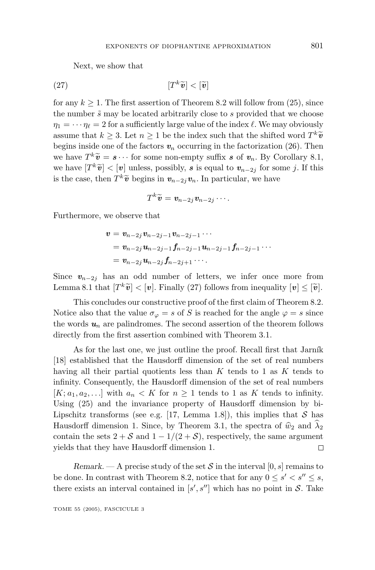Next, we show that

$$
[T^k \widetilde{\bm{v}}] < [\widetilde{\bm{v}}]
$$

for any  $k \geq 1$ . The first assertion of Theorem 8.2 will follow from (25), since the number ˜*s* may be located arbitrarily close to *s* provided that we choose  $\eta_1 = \cdots \eta_\ell = 2$  for a sufficiently large value of the index  $\ell$ . We may obviously assume that  $k \geq 3$ . Let  $n \geq 1$  be the index such that the shifted word  $T^k \tilde{v}$ begins inside one of the factors  $v_n$  occurring in the factorization (26). Then we have  $T^k \tilde{\mathbf{v}} = \mathbf{s} \cdots$  for some non-empty suffix  $\mathbf{s}$  of  $\mathbf{v}_n$ . By Corollary 8.1, we have  $[T^k \tilde{v}] < [v]$  unless, possibly, *s* is equal to  $v_{n-2j}$  for some *j*. If this is the case, then  $T^k\tilde{v}$  begins in  $v_{n-2j}v_n$ . In particular, we have

$$
T^k\widetilde{\boldsymbol{v}}=\boldsymbol{v}_{n-2j}\boldsymbol{v}_{n-2j}\cdots.
$$

Furthermore, we observe that

$$
\begin{aligned} v&=v_{n-2j}v_{n-2j-1}v_{n-2j-1}\cdots\\ &=v_{n-2j}u_{n-2j-1}f_{n-2j-1}u_{n-2j-1}f_{n-2j-1}\cdots\\ &=v_{n-2j}u_{n-2j}f_{n-2j+1}\cdots\end{aligned}
$$

Since  $v_{n-2j}$  has an odd number of letters, we infer once more from Lemma 8.1 that  $|T^k \tilde{v}| < |v|$ . Finally (27) follows from inequality  $|v| \leq |\tilde{v}|$ .

This concludes our constructive proof of the first claim of Theorem 8.2. Notice also that the value  $\sigma_{\varphi} = s$  of *S* is reached for the angle  $\varphi = s$  since the words  $u_n$  are palindromes. The second assertion of the theorem follows directly from the first assertion combined with Theorem 3.1.

As for the last one, we just outline the proof. Recall first that Jarník [18] established that the Hausdorff dimension of the set of real numbers havingall their partial quotients less than *K* tends to 1 as *K* tends to infinity. Consequently, the Hausdorff dimension of the set of real numbers  $[K; a_1, a_2, \ldots]$  with  $a_n \lt K$  for  $n \geq 1$  tends to 1 as  $K$  tends to infinity. Using  $(25)$  and the invariance property of Hausdorff dimension by bi-Lipschitz transforms (see e.g. [17, Lemma 1.8]), this implies that  $S$  has Hausdorff dimension 1. Since, by Theorem 3.1, the spectra of  $\hat{w}_2$  and  $\hat{\lambda}_2$ contain the sets  $2 + S$  and  $1 - 1/(2 + S)$ , respectively, the same argument yields that they have Hausdorff dimension 1.  $\Box$ 

*Remark.* — A precise study of the set S in the interval  $[0, s]$  remains to be done. In contrast with Theorem 8.2, notice that for any  $0 \le s' < s'' \le s$ , there exists an interval contained in  $[s', s'']$  which has no point in  $S$ . Take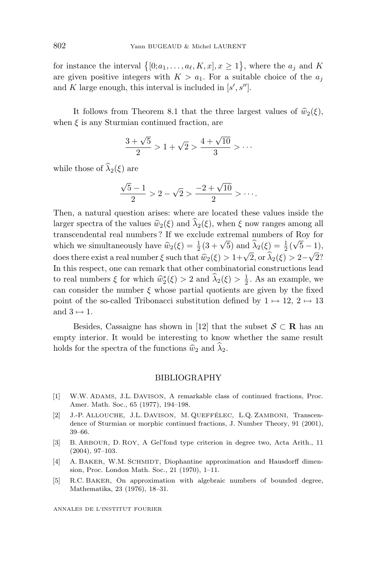for instance the interval  $\{ [0; a_1, \ldots, a_\ell, K, x], x \ge 1 \}$ , where the  $a_j$  and *K* are given positive integers with  $K > a_1$ . For a suitable choice of the  $a_j$ and *K* large enough, this interval is included in  $[s', s'']$ .

It follows from Theorem 8.1 that the three largest values of  $\hat{w}_2(\xi)$ , when  $\xi$  is any Sturmian continued fraction, are

$$
\frac{3+\sqrt{5}}{2} > 1 + \sqrt{2} > \frac{4+\sqrt{10}}{3} > \cdots
$$

while those of  $\widehat{\lambda}_2(\xi)$  are

$$
\frac{\sqrt{5}-1}{2} > 2 - \sqrt{2} > \frac{-2 + \sqrt{10}}{2} > \cdots.
$$

Then, a natural question arises: where are located these values inside the larger spectra of the values  $\hat{w}_2(\xi)$  and  $\hat{\lambda}_2(\xi)$ , when  $\xi$  now ranges among all transcendental real numbers ? If we exclude extremal numbers of Roy for which we simultaneously have  $\hat{w}_2(\xi) = \frac{1}{2}(3 + \sqrt{5})$  and  $\hat{\lambda}_2(\xi) = \frac{1}{2}(\sqrt{5} - 1)$ ,<br>does there exist a real number  $\xi$  such that  $\hat{w}_1(\xi) > 1 + \sqrt{2}$  or  $\hat{\lambda}_1(\xi) > 2 + \sqrt{2}$ ? does there exist a real number *ξ* such that  $\hat{w}_2(\xi) > 1 + \sqrt{2}$ , or  $\hat{\lambda}_2(\xi) > 2 - \sqrt{2}$ ?<br>In this respect, one can remark that other combinatorial constructions lead In this respect, one can remark that other combinatorial constructions lead to real numbers  $\xi$  for which  $\hat{w}_2^*(\xi) > 2$  and  $\hat{\lambda}_2(\xi) > \frac{1}{2}$ . As an example, we<br>can consider the number  $\xi$  whose partial quotients are given by the fixed can consider the number  $\xi$  whose partial quotients are given by the fixed point of the so-called Tribonacci substitution defined by  $1 \mapsto 12$ ,  $2 \mapsto 13$ and  $3 \mapsto 1$ .

Besides, Cassaigne has shown in [12] that the subset  $S \subset \mathbf{R}$  has an empty interior. It would be interesting to know whether the same result holds for the spectra of the functions  $\hat{w}_2$  and  $\hat{\lambda}_2$ .

#### BIBLIOGRAPHY

- [1] W.W. ADAMS, J.L. DAVISON, A remarkable class of continued fractions, Proc. Amer. Math. Soc., 65 (1977), 194–198.
- [2] J.-P. ALLOUCHE, J.L. DAVISON, M. QUEFFÉLEC, L.Q. ZAMBONI, Transcendence of Sturmian or morphic continued fractions, J. Number Theory, 91 (2001), 39–66.
- [3] B. ARBOUR, D. ROY, A Gel'fond type criterion in degree two, Acta Arith., 11 (2004), 97–103.
- [4] A. BAKER, W.M. SCHMIDT, Diophantine approximation and Hausdorff dimension, Proc. London Math. Soc., 21 (1970), 1–11.
- [5] R.C. BAKER, On approximation with algebraic numbers of bounded degree, Mathematika, 23 (1976), 18–31.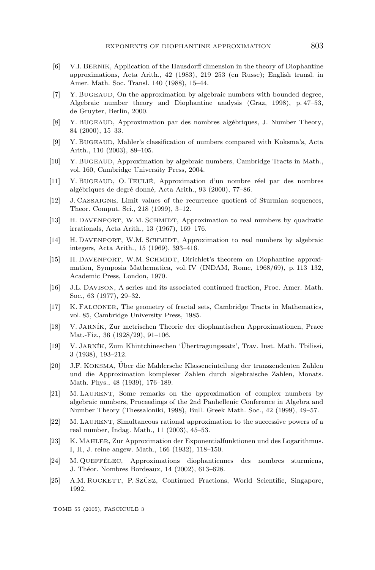- [6] V.I. BERNIK, Application of the Hausdorff dimension in the theory of Diophantine approximations, Acta Arith., 42 (1983), 219–253 (en Russe); English transl. in Amer. Math. Soc. Transl. 140 (1988), 15–44.
- [7] Y. BUGEAUD, On the approximation by algebraic numbers with bounded degree, Algebraic number theory and Diophantine analysis (Graz, 1998), p. 47–53, de Gruyter, Berlin, 2000.
- [8] Y. BUGEAUD, Approximation par des nombres alg´ebriques, J. Number Theory, 84 (2000), 15–33.
- [9] Y. BUGEAUD, Mahler's classification of numbers compared with Koksma's, Acta Arith., 110 (2003), 89–105.
- [10] Y. BUGEAUD, Approximation by algebraic numbers, Cambridge Tracts in Math., vol. 160, Cambridge University Press, 2004.
- [11] Y. BUGEAUD, O. TEULIE´, Approximation d'un nombre r´eel par des nombres algébriques de degré donné, Acta Arith., 93 (2000), 77–86.
- [12] J. CASSAIGNE, Limit values of the recurrence quotient of Sturmian sequences, Theor. Comput. Sci., 218 (1999), 3–12.
- [13] H. DAVENPORT, W.M. SCHMIDT, Approximation to real numbers by quadratic irrationals, Acta Arith., 13 (1967), 169–176.
- [14] H. DAVENPORT, W.M. SCHMIDT, Approximation to real numbers by algebraic integers, Acta Arith., 15 (1969), 393–416.
- [15] H. DAVENPORT, W.M. SCHMIDT, Dirichlet's theorem on Diophantine approximation, Symposia Mathematica, vol. IV (INDAM, Rome, 1968/69), p. 113–132, Academic Press, London, 1970.
- [16] J.L. DAVISON, A series and its associated continued fraction, Proc. Amer. Math. Soc., 63 (1977), 29–32.
- [17] K. FALCONER, The geometry of fractal sets, Cambridge Tracts in Mathematics, vol. 85, Cambridge University Press, 1985.
- [18] V. JARN´IK, Zur metrischen Theorie der diophantischen Approximationen, Prace Mat.-Fiz., 36 (1928/29), 91–106.
- [19] V. JARN´IK, Zum Khintchineschen 'Ubertragungssatz', Trav. Inst. Math. Tbilissi, ¨ 3 (1938), 193–212.
- [20] J.F. KOKSMA, Uber die Mahlersche Klasseneinteilung der transzendenten Zahlen ¨ und die Approximation komplexer Zahlen durch algebraische Zahlen, Monats. Math. Phys., 48 (1939), 176–189.
- [21] M. LAURENT, Some remarks on the approximation of complex numbers by algebraic numbers, Proceedings of the 2nd Panhellenic Conference in Algebra and Number Theory (Thessaloniki, 1998), Bull. Greek Math. Soc., 42 (1999), 49–57.
- [22] M. LAURENT, Simultaneous rational approximation to the successive powers of a real number, Indag. Math., 11 (2003), 45–53.
- [23] K. MAHLER, Zur Approximation der Exponentialfunktionen und des Logarithmus. I, II, J. reine angew. Math., 166 (1932), 118–150.
- [24] M. QUEFFÉLEC, Approximations diophantiennes des nombres sturmiens, J. Théor. Nombres Bordeaux, 14 (2002), 613-628.
- [25] A.M. ROCKETT, P. SZÜSZ, Continued Fractions, World Scientific, Singapore, 1992.